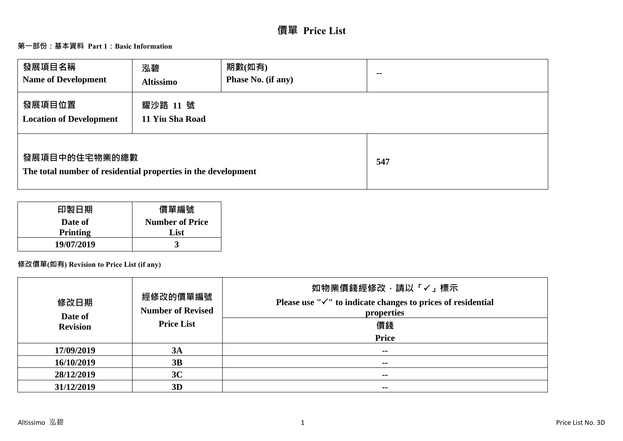# **價單 Price List**

## **第一部份:基本資料 Part 1:Basic Information**

| 發展項目名稱<br><b>Name of Development</b>                                           | 泓碧<br><b>Altissimo</b>      | 期數(如有)<br>Phase No. (if any) | $\sim$ $\sim$ |
|--------------------------------------------------------------------------------|-----------------------------|------------------------------|---------------|
| 發展項目位置<br><b>Location of Development</b>                                       | 耀沙路 11 號<br>11 Yiu Sha Road |                              |               |
| 發展項目中的住宅物業的總數<br>The total number of residential properties in the development |                             |                              | 547           |

| 印製日期            | 價單編號                   |
|-----------------|------------------------|
| Date of         | <b>Number of Price</b> |
| <b>Printing</b> | List                   |
| 19/07/2019      |                        |

# **修改價單(如有) Revision to Price List (if any)**

| 修改日期<br>Date of | 經修改的價單編號<br><b>Number of Revised</b> | 如物業價錢經修改,請以「√」標示<br>Please use " $\checkmark$ " to indicate changes to prices of residential<br>properties |
|-----------------|--------------------------------------|------------------------------------------------------------------------------------------------------------|
| <b>Revision</b> | <b>Price List</b>                    | 價錢<br><b>Price</b>                                                                                         |
| 17/09/2019      | 3A                                   | $\sim$ $\sim$                                                                                              |
| 16/10/2019      | 3B                                   | $\sim$ $\sim$                                                                                              |
| 28/12/2019      | 3C                                   | $\sim$                                                                                                     |
| 31/12/2019      | 3D                                   | $\sim$                                                                                                     |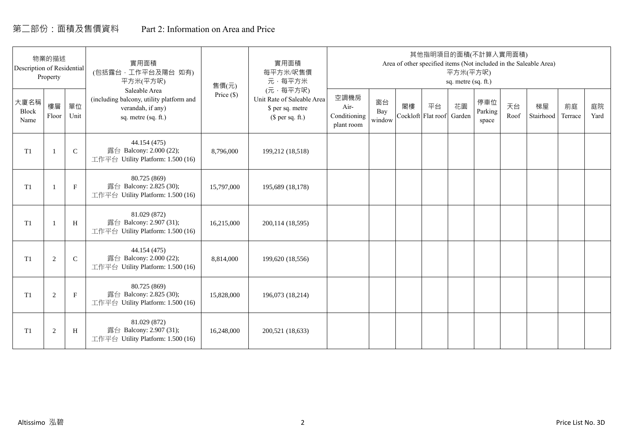# 第二部份:面積及售價資料 Part 2: Information on Area and Price

| Description of Residential | 物業的描述<br>Property |             | 實用面積<br>(包括露台,工作平台及陽台 如有)<br>平方米(平方呎)                                                                 | 售價(元)        | 實用面積<br>每平方米/呎售價<br>元·每平方米                                                     |                                            |                     |    | 其他指明項目的面積(不計算入實用面積)      | 平方米(平方呎)<br>sq. metre (sq. ft.) |                         |            | Area of other specified items (Not included in the Saleable Area) |               |            |
|----------------------------|-------------------|-------------|-------------------------------------------------------------------------------------------------------|--------------|--------------------------------------------------------------------------------|--------------------------------------------|---------------------|----|--------------------------|---------------------------------|-------------------------|------------|-------------------------------------------------------------------|---------------|------------|
| 大廈名稱<br>Block<br>Name      | 樓層<br>Floor       | 單位<br>Unit  | Saleable Area<br>(including balcony, utility platform and<br>verandah, if any)<br>sq. metre (sq. ft.) | Price $(\$)$ | (元·每平方呎)<br>Unit Rate of Saleable Area<br>\$ per sq. metre<br>$$$ per sq. ft.) | 空調機房<br>Air-<br>Conditioning<br>plant room | 窗台<br>Bay<br>window | 閣樓 | 平台<br>Cockloft Flat roof | 花園<br>Garden                    | 停車位<br>Parking<br>space | 天台<br>Roof | 梯屋<br>Stairhood                                                   | 前庭<br>Terrace | 庭院<br>Yard |
| T <sub>1</sub>             |                   | $\mathsf C$ | 44.154 (475)<br>露台 Balcony: 2.000 (22);<br>工作平台 Utility Platform: 1.500 (16)                          | 8,796,000    | 199,212 (18,518)                                                               |                                            |                     |    |                          |                                 |                         |            |                                                                   |               |            |
| T <sub>1</sub>             |                   | $\mathbf F$ | 80.725 (869)<br>露台 Balcony: 2.825 (30);<br>工作平台 Utility Platform: 1.500 (16)                          | 15,797,000   | 195,689 (18,178)                                                               |                                            |                     |    |                          |                                 |                         |            |                                                                   |               |            |
| T <sub>1</sub>             |                   | H           | 81.029 (872)<br>露台 Balcony: 2.907 (31);<br>工作平台 Utility Platform: 1.500 (16)                          | 16,215,000   | 200,114 (18,595)                                                               |                                            |                     |    |                          |                                 |                         |            |                                                                   |               |            |
| T1                         | 2                 | $\mathbf C$ | 44.154 (475)<br>露台 Balcony: 2.000 (22);<br>工作平台 Utility Platform: 1.500 (16)                          | 8,814,000    | 199,620 (18,556)                                                               |                                            |                     |    |                          |                                 |                         |            |                                                                   |               |            |
| T1                         | 2                 | $\mathbf F$ | 80.725 (869)<br>露台 Balcony: 2.825 (30);<br>工作平台 Utility Platform: 1.500 (16)                          | 15,828,000   | 196,073 (18,214)                                                               |                                            |                     |    |                          |                                 |                         |            |                                                                   |               |            |
| T1                         | $\overline{2}$    | H           | 81.029 (872)<br>露台 Balcony: 2.907 (31);<br>工作平台 Utility Platform: 1.500 (16)                          | 16,248,000   | 200,521 (18,633)                                                               |                                            |                     |    |                          |                                 |                         |            |                                                                   |               |            |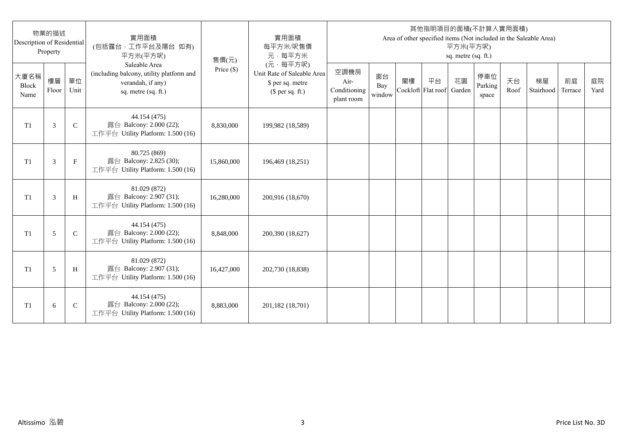| Description of Residential | 物業的描述<br>Property |              | 實用面積<br>(包括露台,工作平台及陽台 如有)<br>平方米(平方呎)                                                                 | 售價(元)      | 實用面積<br>每平方米/呎售價<br>元·每平方米                                                     |                                            |                     |                          |    | 平方米(平方呎)<br>sq. metre (sq. ft.) | 其他指明項目的面積(不計算入實用面積)     |            | Area of other specified items (Not included in the Saleable Area) |               |            |
|----------------------------|-------------------|--------------|-------------------------------------------------------------------------------------------------------|------------|--------------------------------------------------------------------------------|--------------------------------------------|---------------------|--------------------------|----|---------------------------------|-------------------------|------------|-------------------------------------------------------------------|---------------|------------|
| 大廈名稱<br>Block<br>Name      | 樓層<br>Floor       | 單位<br>Unit   | Saleable Area<br>(including balcony, utility platform and<br>verandah, if any)<br>sq. metre (sq. ft.) | Price (\$) | (元·每平方呎)<br>Unit Rate of Saleable Area<br>\$ per sq. metre<br>$$$ per sq. ft.) | 空調機房<br>Air-<br>Conditioning<br>plant room | 窗台<br>Bay<br>window | 閣樓<br>Cockloft Flat roof | 平台 | 花園<br>Garden                    | 停車位<br>Parking<br>space | 天台<br>Roof | 梯屋<br>Stairhood                                                   | 前庭<br>Terrace | 庭院<br>Yard |
| T <sub>1</sub>             | 3                 | $\mathsf{C}$ | 44.154 (475)<br>露台 Balcony: 2.000 (22);<br>工作平台 Utility Platform: 1.500 (16)                          | 8,830,000  | 199,982 (18,589)                                                               |                                            |                     |                          |    |                                 |                         |            |                                                                   |               |            |
| T <sub>1</sub>             | 3                 | $_{\rm F}$   | 80.725 (869)<br>露台 Balcony: 2.825 (30);<br>工作平台 Utility Platform: 1.500 (16)                          | 15,860,000 | 196,469 (18,251)                                                               |                                            |                     |                          |    |                                 |                         |            |                                                                   |               |            |
| T1                         | 3                 | H            | 81.029 (872)<br>露台 Balcony: 2.907 (31);<br>工作平台 Utility Platform: 1.500 (16)                          | 16,280,000 | 200,916 (18,670)                                                               |                                            |                     |                          |    |                                 |                         |            |                                                                   |               |            |
| T1                         | 5                 | $\mathsf{C}$ | 44.154 (475)<br>露台 Balcony: 2.000 (22);<br>工作平台 Utility Platform: 1.500 (16)                          | 8,848,000  | 200,390 (18,627)                                                               |                                            |                     |                          |    |                                 |                         |            |                                                                   |               |            |
| T1                         | 5                 | H            | 81.029 (872)<br>露台 Balcony: 2.907 (31);<br>工作平台 Utility Platform: 1.500 (16)                          | 16,427,000 | 202,730 (18,838)                                                               |                                            |                     |                          |    |                                 |                         |            |                                                                   |               |            |
| T <sub>1</sub>             | 6                 | $\mathsf{C}$ | 44.154 (475)<br>露台 Balcony: 2.000 (22);<br>工作平台 Utility Platform: 1.500 (16)                          | 8,883,000  | 201,182 (18,701)                                                               |                                            |                     |                          |    |                                 |                         |            |                                                                   |               |            |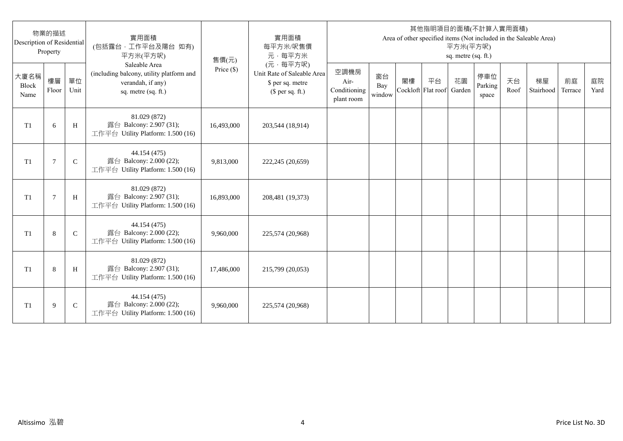| Description of Residential | 物業的描述<br>Property |              | 實用面積<br>(包括露台,工作平台及陽台 如有)<br>平方米(平方呎)                                                                 | 售價(元)      | 實用面積<br>每平方米/呎售價<br>元·每平方米                                                     |                                            |                     |                          |    | 平方米(平方呎)<br>sq. metre (sq. ft.) | 其他指明項目的面積(不計算入實用面積)     |            | Area of other specified items (Not included in the Saleable Area) |               |            |
|----------------------------|-------------------|--------------|-------------------------------------------------------------------------------------------------------|------------|--------------------------------------------------------------------------------|--------------------------------------------|---------------------|--------------------------|----|---------------------------------|-------------------------|------------|-------------------------------------------------------------------|---------------|------------|
| 大廈名稱<br>Block<br>Name      | 樓層<br>Floor       | 單位<br>Unit   | Saleable Area<br>(including balcony, utility platform and<br>verandah, if any)<br>sq. metre (sq. ft.) | Price (\$) | (元·每平方呎)<br>Unit Rate of Saleable Area<br>\$ per sq. metre<br>$$$ per sq. ft.) | 空調機房<br>Air-<br>Conditioning<br>plant room | 窗台<br>Bay<br>window | 閣樓<br>Cockloft Flat roof | 平台 | 花園<br>Garden                    | 停車位<br>Parking<br>space | 天台<br>Roof | 梯屋<br>Stairhood                                                   | 前庭<br>Terrace | 庭院<br>Yard |
| T <sub>1</sub>             | 6                 | H            | 81.029 (872)<br>露台 Balcony: 2.907 (31);<br>工作平台 Utility Platform: 1.500 (16)                          | 16,493,000 | 203,544 (18,914)                                                               |                                            |                     |                          |    |                                 |                         |            |                                                                   |               |            |
| T <sub>1</sub>             | 7                 | $\mathsf{C}$ | 44.154 (475)<br>露台 Balcony: 2.000 (22);<br>工作平台 Utility Platform: 1.500 (16)                          | 9,813,000  | 222,245 (20,659)                                                               |                                            |                     |                          |    |                                 |                         |            |                                                                   |               |            |
| T1                         | $\overline{7}$    | H            | 81.029 (872)<br>露台 Balcony: 2.907 (31);<br>工作平台 Utility Platform: 1.500 (16)                          | 16,893,000 | 208,481 (19,373)                                                               |                                            |                     |                          |    |                                 |                         |            |                                                                   |               |            |
| T1                         | 8                 | $\mathsf{C}$ | 44.154 (475)<br>露台 Balcony: 2.000 (22);<br>工作平台 Utility Platform: 1.500 (16)                          | 9,960,000  | 225,574 (20,968)                                                               |                                            |                     |                          |    |                                 |                         |            |                                                                   |               |            |
| T1                         | 8                 | H            | 81.029 (872)<br>露台 Balcony: 2.907 (31);<br>工作平台 Utility Platform: 1.500 (16)                          | 17,486,000 | 215,799 (20,053)                                                               |                                            |                     |                          |    |                                 |                         |            |                                                                   |               |            |
| T <sub>1</sub>             | 9                 | $\mathsf{C}$ | 44.154 (475)<br>露台 Balcony: 2.000 (22);<br>工作平台 Utility Platform: 1.500 (16)                          | 9,960,000  | 225,574 (20,968)                                                               |                                            |                     |                          |    |                                 |                         |            |                                                                   |               |            |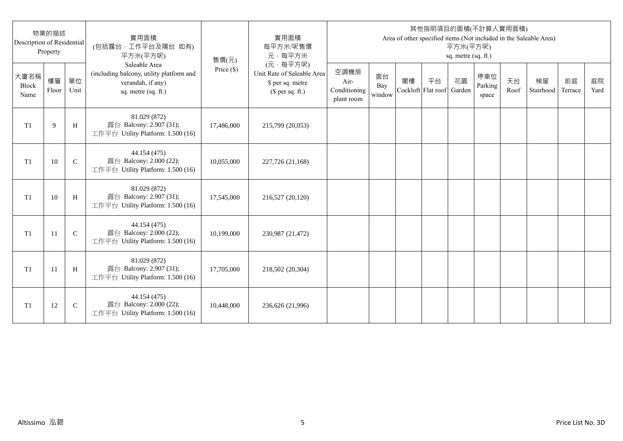| Description of Residential | 物業的描述<br>Property |              | 實用面積<br>(包括露台,工作平台及陽台 如有)<br>平方米(平方呎)                                                                 | 售價(元)      | 實用面積<br>每平方米/呎售價<br>元·每平方米                                                     |                                            |                     |                          |    | 平方米(平方呎)<br>sq. metre (sq. ft.) | 其他指明項目的面積(不計算入實用面積)     |            | Area of other specified items (Not included in the Saleable Area) |               |            |
|----------------------------|-------------------|--------------|-------------------------------------------------------------------------------------------------------|------------|--------------------------------------------------------------------------------|--------------------------------------------|---------------------|--------------------------|----|---------------------------------|-------------------------|------------|-------------------------------------------------------------------|---------------|------------|
| 大廈名稱<br>Block<br>Name      | 樓層<br>Floor       | 單位<br>Unit   | Saleable Area<br>(including balcony, utility platform and<br>verandah, if any)<br>sq. metre (sq. ft.) | Price (\$) | (元·每平方呎)<br>Unit Rate of Saleable Area<br>\$ per sq. metre<br>$$$ per sq. ft.) | 空調機房<br>Air-<br>Conditioning<br>plant room | 窗台<br>Bay<br>window | 閣樓<br>Cockloft Flat roof | 平台 | 花園<br>Garden                    | 停車位<br>Parking<br>space | 天台<br>Roof | 梯屋<br>Stairhood                                                   | 前庭<br>Terrace | 庭院<br>Yard |
| T <sub>1</sub>             | 9                 | H            | 81.029 (872)<br>露台 Balcony: 2.907 (31);<br>工作平台 Utility Platform: 1.500 (16)                          | 17,486,000 | 215,799 (20,053)                                                               |                                            |                     |                          |    |                                 |                         |            |                                                                   |               |            |
| T <sub>1</sub>             | 10                | $\mathsf{C}$ | 44.154 (475)<br>露台 Balcony: 2.000 (22);<br>工作平台 Utility Platform: 1.500 (16)                          | 10,055,000 | 227,726 (21,168)                                                               |                                            |                     |                          |    |                                 |                         |            |                                                                   |               |            |
| T1                         | 10                | H            | 81.029 (872)<br>露台 Balcony: 2.907 (31);<br>工作平台 Utility Platform: 1.500 (16)                          | 17,545,000 | 216,527 (20,120)                                                               |                                            |                     |                          |    |                                 |                         |            |                                                                   |               |            |
| T1                         | 11                | $\mathbf C$  | 44.154 (475)<br>露台 Balcony: 2.000 (22);<br>工作平台 Utility Platform: 1.500 (16)                          | 10,199,000 | 230,987 (21,472)                                                               |                                            |                     |                          |    |                                 |                         |            |                                                                   |               |            |
| T1                         | -11               | H            | 81.029 (872)<br>露台 Balcony: 2.907 (31);<br>工作平台 Utility Platform: 1.500 (16)                          | 17,705,000 | 218,502 (20,304)                                                               |                                            |                     |                          |    |                                 |                         |            |                                                                   |               |            |
| T <sub>1</sub>             | 12                | $\mathsf{C}$ | 44.154 (475)<br>露台 Balcony: 2.000 (22);<br>工作平台 Utility Platform: 1.500 (16)                          | 10,448,000 | 236,626 (21,996)                                                               |                                            |                     |                          |    |                                 |                         |            |                                                                   |               |            |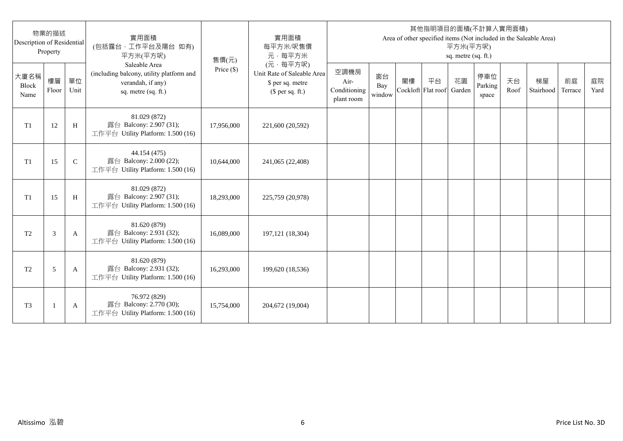| Description of Residential | 物業的描述<br>Property |              | 實用面積<br>(包括露台,工作平台及陽台 如有)<br>平方米(平方呎)                                                                 | 售價(元)      | 實用面積<br>每平方米/呎售價<br>元·每平方米                                                     |                                            |                     |                          |    | 平方米(平方呎)<br>sq. metre (sq. ft.) | 其他指明項目的面積(不計算入實用面積)     |            | Area of other specified items (Not included in the Saleable Area) |               |            |
|----------------------------|-------------------|--------------|-------------------------------------------------------------------------------------------------------|------------|--------------------------------------------------------------------------------|--------------------------------------------|---------------------|--------------------------|----|---------------------------------|-------------------------|------------|-------------------------------------------------------------------|---------------|------------|
| 大廈名稱<br>Block<br>Name      | 樓層<br>Floor       | 單位<br>Unit   | Saleable Area<br>(including balcony, utility platform and<br>verandah, if any)<br>sq. metre (sq. ft.) | Price (\$) | (元·每平方呎)<br>Unit Rate of Saleable Area<br>\$ per sq. metre<br>$$$ per sq. ft.) | 空調機房<br>Air-<br>Conditioning<br>plant room | 窗台<br>Bay<br>window | 閣樓<br>Cockloft Flat roof | 平台 | 花園<br>Garden                    | 停車位<br>Parking<br>space | 天台<br>Roof | 梯屋<br>Stairhood                                                   | 前庭<br>Terrace | 庭院<br>Yard |
| T1                         | 12                | H            | 81.029 (872)<br>露台 Balcony: 2.907 (31);<br>工作平台 Utility Platform: 1.500 (16)                          | 17,956,000 | 221,600 (20,592)                                                               |                                            |                     |                          |    |                                 |                         |            |                                                                   |               |            |
| T1                         | 15                | $\mathsf{C}$ | 44.154 (475)<br>露台 Balcony: 2.000 (22);<br>工作平台 Utility Platform: 1.500 (16)                          | 10,644,000 | 241,065 (22,408)                                                               |                                            |                     |                          |    |                                 |                         |            |                                                                   |               |            |
| T1                         | 15                | H            | 81.029 (872)<br>露台 Balcony: 2.907 (31);<br>工作平台 Utility Platform: 1.500 (16)                          | 18,293,000 | 225,759 (20,978)                                                               |                                            |                     |                          |    |                                 |                         |            |                                                                   |               |            |
| T <sub>2</sub>             | 3                 | A            | 81.620 (879)<br>露台 Balcony: 2.931 (32);<br>工作平台 Utility Platform: 1.500 (16)                          | 16,089,000 | 197, 121 (18, 304)                                                             |                                            |                     |                          |    |                                 |                         |            |                                                                   |               |            |
| T <sub>2</sub>             | 5                 | A            | 81.620 (879)<br>露台 Balcony: 2.931 (32);<br>工作平台 Utility Platform: 1.500 (16)                          | 16,293,000 | 199,620 (18,536)                                                               |                                            |                     |                          |    |                                 |                         |            |                                                                   |               |            |
| T <sub>3</sub>             |                   | A            | 76.972 (829)<br>露台 Balcony: 2.770 (30);<br>工作平台 Utility Platform: 1.500 (16)                          | 15,754,000 | 204,672 (19,004)                                                               |                                            |                     |                          |    |                                 |                         |            |                                                                   |               |            |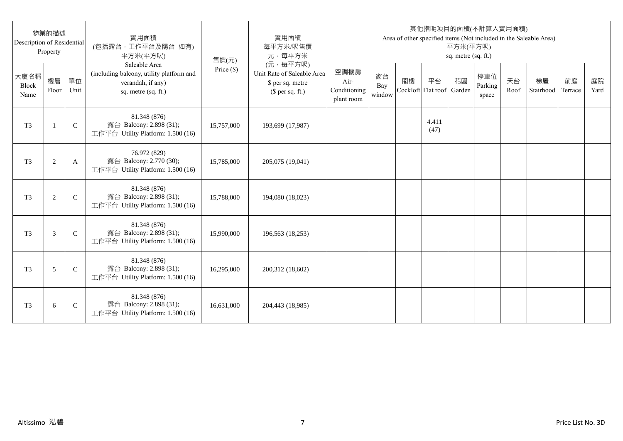| Description of Residential | 物業的描述<br>Property |              | 實用面積<br>(包括露台,工作平台及陽台 如有)<br>平方米(平方呎)                                                                 | 售價(元)      | 實用面積<br>每平方米/呎售價<br>元·每平方米                                                     |                                            |                     |                          |               | 平方米(平方呎)<br>sq. metre (sq. ft.) | 其他指明項目的面積(不計算入實用面積)     |            | Area of other specified items (Not included in the Saleable Area) |               |            |
|----------------------------|-------------------|--------------|-------------------------------------------------------------------------------------------------------|------------|--------------------------------------------------------------------------------|--------------------------------------------|---------------------|--------------------------|---------------|---------------------------------|-------------------------|------------|-------------------------------------------------------------------|---------------|------------|
| 大廈名稱<br>Block<br>Name      | 樓層<br>Floor       | 單位<br>Unit   | Saleable Area<br>(including balcony, utility platform and<br>verandah, if any)<br>sq. metre (sq. ft.) | Price (\$) | (元·每平方呎)<br>Unit Rate of Saleable Area<br>\$ per sq. metre<br>$$$ per sq. ft.) | 空調機房<br>Air-<br>Conditioning<br>plant room | 窗台<br>Bay<br>window | 閣樓<br>Cockloft Flat roof | 平台            | 花園<br>Garden                    | 停車位<br>Parking<br>space | 天台<br>Roof | 梯屋<br>Stairhood                                                   | 前庭<br>Terrace | 庭院<br>Yard |
| T <sub>3</sub>             | $\mathbf{1}$      | $\mathsf{C}$ | 81.348 (876)<br>露台 Balcony: 2.898 (31);<br>工作平台 Utility Platform: 1.500 (16)                          | 15,757,000 | 193,699 (17,987)                                                               |                                            |                     |                          | 4.411<br>(47) |                                 |                         |            |                                                                   |               |            |
| T <sub>3</sub>             | $\overline{c}$    | A            | 76.972 (829)<br>露台 Balcony: 2.770 (30);<br>工作平台 Utility Platform: 1.500 (16)                          | 15,785,000 | 205,075 (19,041)                                                               |                                            |                     |                          |               |                                 |                         |            |                                                                   |               |            |
| T <sub>3</sub>             | $\overline{c}$    | $\mathsf{C}$ | 81.348 (876)<br>露台 Balcony: 2.898 (31);<br>工作平台 Utility Platform: 1.500 (16)                          | 15,788,000 | 194,080 (18,023)                                                               |                                            |                     |                          |               |                                 |                         |            |                                                                   |               |            |
| T <sub>3</sub>             | 3                 | $\mathsf{C}$ | 81.348 (876)<br>露台 Balcony: 2.898 (31);<br>工作平台 Utility Platform: 1.500 (16)                          | 15,990,000 | 196,563 (18,253)                                                               |                                            |                     |                          |               |                                 |                         |            |                                                                   |               |            |
| T <sub>3</sub>             | 5                 | $\mathsf{C}$ | 81.348 (876)<br>露台 Balcony: 2.898 (31);<br>工作平台 Utility Platform: 1.500 (16)                          | 16,295,000 | 200,312 (18,602)                                                               |                                            |                     |                          |               |                                 |                         |            |                                                                   |               |            |
| T <sub>3</sub>             | 6                 | $\mathsf{C}$ | 81.348 (876)<br>露台 Balcony: 2.898 (31);<br>工作平台 Utility Platform: 1.500 (16)                          | 16,631,000 | 204,443 (18,985)                                                               |                                            |                     |                          |               |                                 |                         |            |                                                                   |               |            |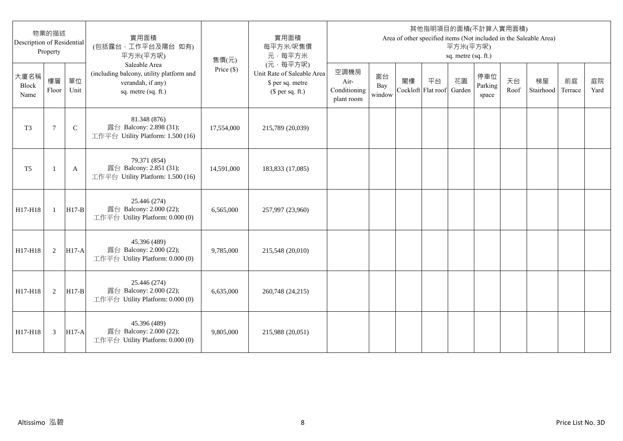| Description of Residential | 物業的描述<br>Property |              | 實用面積<br>(包括露台,工作平台及陽台 如有)<br>平方米(平方呎)                                                                 | 售價(元)      | 實用面積<br>每平方米/呎售價<br>元·每平方米                                                     |                                            |                     |                          |    | 平方米(平方呎)<br>sq. metre (sq. ft.) | 其他指明項目的面積(不計算入實用面積)     |            | Area of other specified items (Not included in the Saleable Area) |               |            |
|----------------------------|-------------------|--------------|-------------------------------------------------------------------------------------------------------|------------|--------------------------------------------------------------------------------|--------------------------------------------|---------------------|--------------------------|----|---------------------------------|-------------------------|------------|-------------------------------------------------------------------|---------------|------------|
| 大廈名稱<br>Block<br>Name      | 樓層<br>Floor       | 單位<br>Unit   | Saleable Area<br>(including balcony, utility platform and<br>verandah, if any)<br>sq. metre (sq. ft.) | Price (\$) | (元·每平方呎)<br>Unit Rate of Saleable Area<br>\$ per sq. metre<br>$$$ per sq. ft.) | 空調機房<br>Air-<br>Conditioning<br>plant room | 窗台<br>Bay<br>window | 閣樓<br>Cockloft Flat roof | 平台 | 花園<br>Garden                    | 停車位<br>Parking<br>space | 天台<br>Roof | 梯屋<br>Stairhood                                                   | 前庭<br>Terrace | 庭院<br>Yard |
| T <sub>3</sub>             | $\tau$            | $\mathsf{C}$ | 81.348 (876)<br>露台 Balcony: 2.898 (31);<br>工作平台 Utility Platform: 1.500 (16)                          | 17,554,000 | 215,789 (20,039)                                                               |                                            |                     |                          |    |                                 |                         |            |                                                                   |               |            |
| T <sub>5</sub>             |                   | A            | 79.371 (854)<br>露台 Balcony: 2.851 (31);<br>工作平台 Utility Platform: 1.500 (16)                          | 14,591,000 | 183,833 (17,085)                                                               |                                            |                     |                          |    |                                 |                         |            |                                                                   |               |            |
| H17-H18                    | $\mathbf{1}$      | $H17-B$      | 25.446 (274)<br>露台 Balcony: 2.000 (22);<br>工作平台 Utility Platform: 0.000 (0)                           | 6,565,000  | 257,997 (23,960)                                                               |                                            |                     |                          |    |                                 |                         |            |                                                                   |               |            |
| H17-H18                    | 2                 | $H17-A$      | 45.396 (489)<br>露台 Balcony: 2.000 (22);<br>工作平台 Utility Platform: 0.000 (0)                           | 9,785,000  | 215,548 (20,010)                                                               |                                            |                     |                          |    |                                 |                         |            |                                                                   |               |            |
| H17-H18                    | 2                 | $H17-B$      | 25.446 (274)<br>露台 Balcony: 2.000 (22);<br>工作平台 Utility Platform: 0.000 (0)                           | 6,635,000  | 260,748 (24,215)                                                               |                                            |                     |                          |    |                                 |                         |            |                                                                   |               |            |
| H17-H18                    | 3                 | <b>H17-A</b> | 45.396 (489)<br>露台 Balcony: 2.000 (22);<br>工作平台 Utility Platform: 0.000 (0)                           | 9,805,000  | 215,988 (20,051)                                                               |                                            |                     |                          |    |                                 |                         |            |                                                                   |               |            |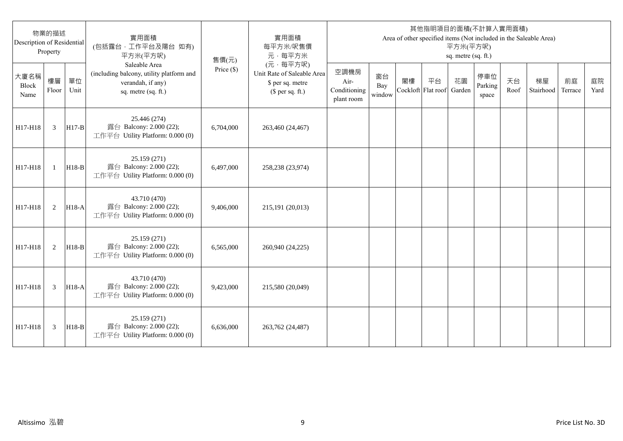| Description of Residential | 物業的描述<br>Property |            | 實用面積<br>(包括露台,工作平台及陽台 如有)<br>平方米(平方呎)                                                                 | 售價(元)        | 實用面積<br>每平方米/呎售價<br>元·每平方米                                                     |                                            |                     |                          |    | 平方米(平方呎)<br>sq. metre (sq. ft.) | 其他指明項目的面積(不計算入實用面積)     |            | Area of other specified items (Not included in the Saleable Area) |               |            |
|----------------------------|-------------------|------------|-------------------------------------------------------------------------------------------------------|--------------|--------------------------------------------------------------------------------|--------------------------------------------|---------------------|--------------------------|----|---------------------------------|-------------------------|------------|-------------------------------------------------------------------|---------------|------------|
| 大廈名稱<br>Block<br>Name      | 樓層<br>Floor       | 單位<br>Unit | Saleable Area<br>(including balcony, utility platform and<br>verandah, if any)<br>sq. metre (sq. ft.) | Price $(\$)$ | (元·每平方呎)<br>Unit Rate of Saleable Area<br>\$ per sq. metre<br>$$$ per sq. ft.) | 空調機房<br>Air-<br>Conditioning<br>plant room | 窗台<br>Bay<br>window | 閣樓<br>Cockloft Flat roof | 平台 | 花園<br>Garden                    | 停車位<br>Parking<br>space | 天台<br>Roof | 梯屋<br>Stairhood                                                   | 前庭<br>Terrace | 庭院<br>Yard |
| H17-H18                    | 3                 | $H17-B$    | 25.446 (274)<br>露台 Balcony: 2.000 (22);<br>工作平台 Utility Platform: 0.000 (0)                           | 6,704,000    | 263,460 (24,467)                                                               |                                            |                     |                          |    |                                 |                         |            |                                                                   |               |            |
| H17-H18                    | $\mathbf{1}$      | $H18-B$    | 25.159 (271)<br>露台 Balcony: 2.000 (22);<br>工作平台 Utility Platform: 0.000 (0)                           | 6.497,000    | 258,238 (23,974)                                                               |                                            |                     |                          |    |                                 |                         |            |                                                                   |               |            |
| H17-H18                    | 2                 | $H18-A$    | 43.710 (470)<br>露台 Balcony: 2.000 (22);<br>工作平台 Utility Platform: 0.000 (0)                           | 9,406,000    | 215,191 (20,013)                                                               |                                            |                     |                          |    |                                 |                         |            |                                                                   |               |            |
| H17-H18                    | 2                 | $H18-B$    | 25.159 (271)<br>露台 Balcony: 2.000 (22);<br>工作平台 Utility Platform: 0.000 (0)                           | 6,565,000    | 260,940 (24,225)                                                               |                                            |                     |                          |    |                                 |                         |            |                                                                   |               |            |
| H17-H18                    | 3                 | H18-A      | 43.710 (470)<br>露台 Balcony: 2.000 (22);<br>工作平台 Utility Platform: 0.000 (0)                           | 9,423,000    | 215,580 (20,049)                                                               |                                            |                     |                          |    |                                 |                         |            |                                                                   |               |            |
| H17-H18                    | 3                 | $H18-B$    | 25.159 (271)<br>露台 Balcony: 2.000 (22);<br>工作平台 Utility Platform: 0.000 (0)                           | 6.636,000    | 263,762 (24,487)                                                               |                                            |                     |                          |    |                                 |                         |            |                                                                   |               |            |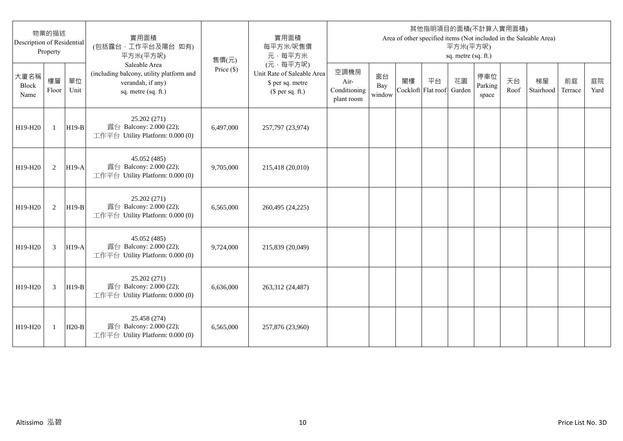| Description of Residential   | 物業的描述<br>Property |            | 實用面積<br>(包括露台,工作平台及陽台 如有)<br>平方米(平方呎)                                                                 | 售價(元)        | 實用面積<br>每平方米/呎售價<br>元·每平方米                                                     |                                            |                     |    |                          | 平方米(平方呎)<br>sq. metre (sq. ft.) | 其他指明項目的面積(不計算入實用面積)     |            | Area of other specified items (Not included in the Saleable Area) |               |            |
|------------------------------|-------------------|------------|-------------------------------------------------------------------------------------------------------|--------------|--------------------------------------------------------------------------------|--------------------------------------------|---------------------|----|--------------------------|---------------------------------|-------------------------|------------|-------------------------------------------------------------------|---------------|------------|
| 大廈名稱<br><b>Block</b><br>Name | 樓層<br>Floor       | 單位<br>Unit | Saleable Area<br>(including balcony, utility platform and<br>verandah, if any)<br>sq. metre (sq. ft.) | Price $(\$)$ | (元·每平方呎)<br>Unit Rate of Saleable Area<br>\$ per sq. metre<br>$$$ per sq. ft.) | 空調機房<br>Air-<br>Conditioning<br>plant room | 窗台<br>Bay<br>window | 閣樓 | 平台<br>Cockloft Flat roof | 花園<br>Garden                    | 停車位<br>Parking<br>space | 天台<br>Roof | 梯屋<br>Stairhood                                                   | 前庭<br>Terrace | 庭院<br>Yard |
| H19-H20                      | $\mathbf{1}$      | $H19-B$    | 25.202 (271)<br>露台 Balcony: 2.000 (22);<br>工作平台 Utility Platform: 0.000 (0)                           | 6,497,000    | 257,797 (23,974)                                                               |                                            |                     |    |                          |                                 |                         |            |                                                                   |               |            |
| H19-H20                      | 2                 | $H19-A$    | 45.052 (485)<br>露台 Balcony: 2.000 (22);<br>工作平台 Utility Platform: 0.000 (0)                           | 9,705,000    | 215,418 (20,010)                                                               |                                            |                     |    |                          |                                 |                         |            |                                                                   |               |            |
| H19-H20                      | 2                 | $H19-B$    | 25.202 (271)<br>露台 Balcony: 2.000 (22);<br>工作平台 Utility Platform: 0.000 (0)                           | 6.565.000    | 260,495 (24,225)                                                               |                                            |                     |    |                          |                                 |                         |            |                                                                   |               |            |
| H19-H20                      | 3                 | $H19-A$    | 45.052 (485)<br>露台 Balcony: 2.000 (22);<br>工作平台 Utility Platform: 0.000 (0)                           | 9,724,000    | 215,839 (20,049)                                                               |                                            |                     |    |                          |                                 |                         |            |                                                                   |               |            |
| H19-H20                      | 3                 | $H19-B$    | 25.202 (271)<br>露台 Balcony: 2.000 (22);<br>工作平台 Utility Platform: 0.000 (0)                           | 6,636,000    | 263,312 (24,487)                                                               |                                            |                     |    |                          |                                 |                         |            |                                                                   |               |            |
| H19-H20                      | 1                 | $H20-B$    | 25.458 (274)<br>露台 Balcony: 2.000 (22);<br>工作平台 Utility Platform: 0.000 (0)                           | 6,565,000    | 257,876 (23,960)                                                               |                                            |                     |    |                          |                                 |                         |            |                                                                   |               |            |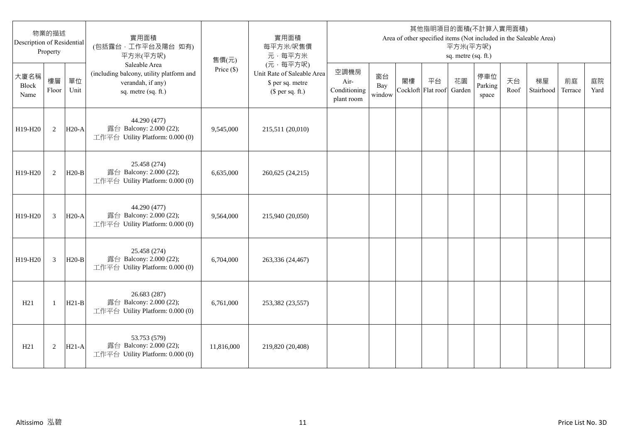| 物業的描述<br>Description of Residential<br>Property |                |            | 實用面積<br>(包括露台,工作平台及陽台 如有)<br>平方米(平方呎)                                                                 | 售價(元)        | 實用面積<br>每平方米/呎售價<br>元·每平方米                                                     | 其他指明項目的面積(不計算入實用面積)<br>Area of other specified items (Not included in the Saleable Area)<br>平方米(平方呎)<br>sq. metre (sq. ft.) |                     |                          |    |              |                         |            |                 |               |            |
|-------------------------------------------------|----------------|------------|-------------------------------------------------------------------------------------------------------|--------------|--------------------------------------------------------------------------------|-----------------------------------------------------------------------------------------------------------------------------|---------------------|--------------------------|----|--------------|-------------------------|------------|-----------------|---------------|------------|
| 大廈名稱<br>Block<br>Name                           | 樓層<br>Floor    | 單位<br>Unit | Saleable Area<br>(including balcony, utility platform and<br>verandah, if any)<br>sq. metre (sq. ft.) | Price $(\$)$ | (元·每平方呎)<br>Unit Rate of Saleable Area<br>\$ per sq. metre<br>$$$ per sq. ft.) | 空調機房<br>Air-<br>Conditioning<br>plant room                                                                                  | 窗台<br>Bay<br>window | 閣樓<br>Cockloft Flat roof | 平台 | 花園<br>Garden | 停車位<br>Parking<br>space | 天台<br>Roof | 梯屋<br>Stairhood | 前庭<br>Terrace | 庭院<br>Yard |
| H19-H20                                         | 2              | $H20-A$    | 44.290 (477)<br>露台 Balcony: 2.000 (22);<br>工作平台 Utility Platform: 0.000 (0)                           | 9,545,000    | 215,511 (20,010)                                                               |                                                                                                                             |                     |                          |    |              |                         |            |                 |               |            |
| H19-H20                                         | 2              | $H20-B$    | 25.458 (274)<br>露台 Balcony: 2.000 (22);<br>工作平台 Utility Platform: 0.000 (0)                           | 6,635,000    | 260,625 (24,215)                                                               |                                                                                                                             |                     |                          |    |              |                         |            |                 |               |            |
| H19-H20                                         | 3              | $H20-A$    | 44.290 (477)<br>露台 Balcony: 2.000 (22);<br>工作平台 Utility Platform: 0.000 (0)                           | 9,564,000    | 215,940 (20,050)                                                               |                                                                                                                             |                     |                          |    |              |                         |            |                 |               |            |
| H19-H20                                         | $\overline{3}$ | $H20-B$    | 25.458 (274)<br>露台 Balcony: 2.000 (22);<br>工作平台 Utility Platform: 0.000 (0)                           | 6,704,000    | 263,336 (24,467)                                                               |                                                                                                                             |                     |                          |    |              |                         |            |                 |               |            |
| H21                                             | -1             | $H21-B$    | 26.683 (287)<br>露台 Balcony: 2.000 (22);<br>工作平台 Utility Platform: 0.000 (0)                           | 6,761,000    | 253,382 (23,557)                                                               |                                                                                                                             |                     |                          |    |              |                         |            |                 |               |            |
| H21                                             | $\overline{2}$ | $H21-A$    | 53.753 (579)<br>露台 Balcony: 2.000 (22);<br>工作平台 Utility Platform: 0.000 (0)                           | 11,816,000   | 219,820 (20,408)                                                               |                                                                                                                             |                     |                          |    |              |                         |            |                 |               |            |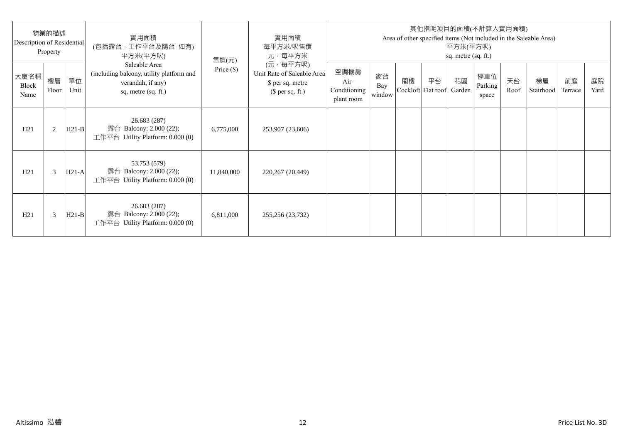| 物業的描述<br>Description of Residential<br>Property |             |            | 實用面積<br>(包括露台·工作平台及陽台 如有)<br>平方米(平方呎)                                                                 | 售價(元)        | 實用面積<br>每平方米/呎售價<br>元·每平方米                                                     | 其他指明項目的面積(不計算入實用面積)<br>Area of other specified items (Not included in the Saleable Area)<br>平方米(平方呎)<br>sq. metre (sq. ft.) |                     |    |                                 |    |                         |            |                 |               |            |
|-------------------------------------------------|-------------|------------|-------------------------------------------------------------------------------------------------------|--------------|--------------------------------------------------------------------------------|-----------------------------------------------------------------------------------------------------------------------------|---------------------|----|---------------------------------|----|-------------------------|------------|-----------------|---------------|------------|
| 大廈名稱<br>Block<br>Name                           | 樓層<br>Floor | 單位<br>Unit | Saleable Area<br>(including balcony, utility platform and<br>verandah, if any)<br>sq. metre (sq. ft.) | Price $(\$)$ | (元·每平方呎)<br>Unit Rate of Saleable Area<br>\$ per sq. metre<br>$$$ per sq. ft.) | 空調機房<br>Air-<br>Conditioning<br>plant room                                                                                  | 窗台<br>Bay<br>window | 閣樓 | 平台<br>Cockloft Flat roof Garden | 花園 | 停車位<br>Parking<br>space | 天台<br>Roof | 梯屋<br>Stairhood | 前庭<br>Terrace | 庭院<br>Yard |
| H21                                             | 2           | $H21-B$    | 26.683 (287)<br>露台 Balcony: 2.000 (22);<br>工作平台 Utility Platform: $0.000(0)$                          | 6,775,000    | 253,907 (23,606)                                                               |                                                                                                                             |                     |    |                                 |    |                         |            |                 |               |            |
| H21                                             | 3           | $H21-A$    | 53.753 (579)<br>露台 Balcony: 2.000 (22);<br>工作平台 Utility Platform: 0.000 (0)                           | 11,840,000   | 220,267 (20,449)                                                               |                                                                                                                             |                     |    |                                 |    |                         |            |                 |               |            |
| H21                                             | 3           | $H21-B$    | 26.683 (287)<br>露台 Balcony: 2.000 (22);<br>工作平台 Utility Platform: $0.000(0)$                          | 6,811,000    | 255,256 (23,732)                                                               |                                                                                                                             |                     |    |                                 |    |                         |            |                 |               |            |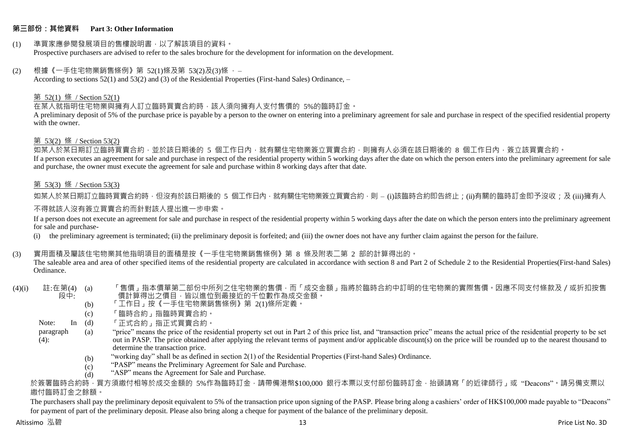#### **第三部份:其他資料 Part 3: Other Information**

#### (1) 準買家應參閱發展項目的售樓說明書,以了解該項目的資料。 Prospective purchasers are advised to refer to the sales brochure for the development for information on the development.

#### $(2)$  根據《一手住宅物業銷售條例》第 52(1)條及第 53(2)及(3)條,

According to sections 52(1) and 53(2) and (3) of the Residential Properties (First-hand Sales) Ordinance, –

#### 第 52(1) 條 / Section 52(1)

在某人就指明住宅物業與擁有人訂立臨時買賣合約時,該人須向擁有人支付售價的 5%的臨時訂金。

A preliminary deposit of 5% of the purchase price is payable by a person to the owner on entering into a preliminary agreement for sale and purchase in respect of the specified residential property with the owner.

#### 第 53(2) 條 / Section 53(2)

————————————————————<br>如某人於某日期訂立臨時買賣合約,並於該日期後的 5 個工作日內,就有關住宅物業簽立買賣合約,則擁有人必須在該日期後的 8 個工作日內,簽立該買賣合約。 If a person executes an agreement for sale and purchase in respect of the residential property within 5 working days after the date on which the person enters into the preliminary agreement for sale and purchase, the owner must execute the agreement for sale and purchase within 8 working days after that date.

#### 第 53(3) 條 / Section 53(3)

如某人於某日期訂立臨時買賣合約時,但沒有於該日期後的 5 個工作日內,就有關住宅物業簽立買賣合約,則 – (i)該臨時合約即告終止;(ii)有關的臨時訂金即予沒收;及 (iii)擁有人

#### 不得就該人沒有簽立買賣合約而針對該人提出進一步申索。

If a person does not execute an agreement for sale and purchase in respect of the residential property within 5 working days after the date on which the person enters into the preliminary agreement for sale and purchase-

(i) the preliminary agreement is terminated; (ii) the preliminary deposit is forfeited; and (iii) the owner does not have any further claim against the person for the failure.

#### (3) 實用面積及屬該住宅物業其他指明項目的面積是按《一手住宅物業銷售條例》第 8 條及附表二第 2 部的計算得出的。

The saleable area and area of other specified items of the residential property are calculated in accordance with section 8 and Part 2 of Schedule 2 to the Residential Properties(First-hand Sales) Ordinance.

#### $(4)(i)$  註:在第 $(4)$   $(a)$ 段中: 「售價」指本價單第二部份中所列之住宅物業的售價,而「成交金額」指將於臨時合約中訂明的住宅物業的實際售價。因應不同支付條款及/或折扣按售 價計算得出之價目,皆以進位到最接近的千位數作為成交金額。

- (b) 「工作日」按《一手住宅物業銷售條例》第 2(1)條所定義。
- (c) 「臨時合約」指臨時買賣合約。
- Note:  $In (d)$ 「正式合約」指正式買賣合約。
- paragraph  $(4)$ : (a) "price" means the price of the residential property set out in Part 2 of this price list, and "transaction price" means the actual price of the residential property to be set out in PASP. The price obtained after applying the relevant terms of payment and/or applicable discount(s) on the price will be rounded up to the nearest thousand to determine the transaction price.
	- (b) "working day" shall be as defined in section 2(1) of the Residential Properties (First-hand Sales) Ordinance.
	- $(c)$ "PASP" means the Preliminary Agreement for Sale and Purchase.
	- (d) "ASP" means the Agreement for Sale and Purchase.

於簽署臨時合約時,買方須繳付相等於成交金額的 5%作為臨時訂金,請帶備港幣\$100,000 銀行本票以支付部份臨時訂金,抬頭請寫「的近律師行」或"Deacons"。請另備支票以 繳付臨時訂金之餘額。

The purchasers shall pay the preliminary deposit equivalent to 5% of the transaction price upon signing of the PASP. Please bring along a cashiers' order of HK\$100,000 made payable to "Deacons" for payment of part of the preliminary deposit. Please also bring along a cheque for payment of the balance of the preliminary deposit.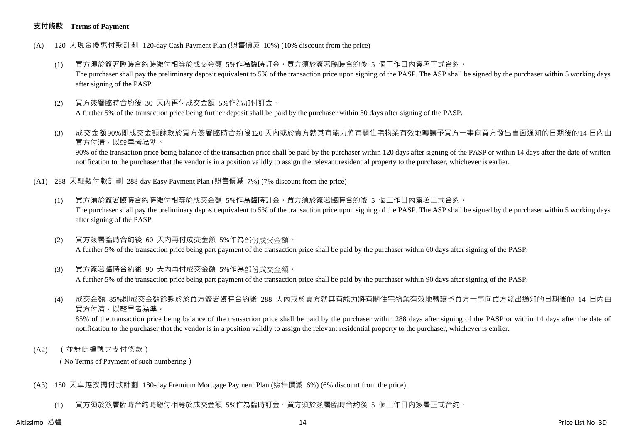#### **支付條款 Terms of Payment**

- (A) 120 天現金優惠付款計劃 120-day Cash Payment Plan (照售價減 10%) (10% discount from the price)
	- (1) 買方須於簽署臨時合約時繳付相等於成交金額 5%作為臨時訂金。買方須於簽署臨時合約後 5 個工作日內簽署正式合約。 The purchaser shall pay the preliminary deposit equivalent to 5% of the transaction price upon signing of the PASP. The ASP shall be signed by the purchaser within 5 working days after signing of the PASP.
	- (2) 買方簽署臨時合約後 30 天內再付成交金額 5%作為加付訂金。 A further 5% of the transaction price being further deposit shall be paid by the purchaser within 30 days after signing of the PASP.
	- (3) 成交金額90%即成交金額餘款於買方簽署臨時合約後120 天內或於賣方就其有能力將有關住宅物業有效地轉讓予買方一事向買方發出書面通知的日期後的14 日內由 買方付清,以較早者為準。

90% of the transaction price being balance of the transaction price shall be paid by the purchaser within 120 days after signing of the PASP or within 14 days after the date of written notification to the purchaser that the vendor is in a position validly to assign the relevant residential property to the purchaser, whichever is earlier.

- (A1) 288 天輕鬆付款計劃 288-day Easy Payment Plan (照售價減 7%) (7% discount from the price)
	- (1) 買方須於簽署臨時合約時繳付相等於成交金額 5%作為臨時訂金。買方須於簽署臨時合約後 5 個工作日內簽署正式合約。 The purchaser shall pay the preliminary deposit equivalent to 5% of the transaction price upon signing of the PASP. The ASP shall be signed by the purchaser within 5 working days after signing of the PASP.
	- (2) 買方簽署臨時合約後 60 天內再付成交金額 5%作為部份成交金額。 A further 5% of the transaction price being part payment of the transaction price shall be paid by the purchaser within 60 days after signing of the PASP.
	- (3) 買方簽署臨時合約後 90 天內再付成交金額 5%作為部份成交金額。

A further 5% of the transaction price being part payment of the transaction price shall be paid by the purchaser within 90 days after signing of the PASP.

(4) 成交金額 85%即成交金額餘款於於買方簽署臨時合約後 288 天內或於賣方就其有能力將有關住宅物業有效地轉讓予買方一事向買方發出通知的日期後的 14 日內由 買方付清,以較早者為準。

85% of the transaction price being balance of the transaction price shall be paid by the purchaser within 288 days after signing of the PASP or within 14 days after the date of notification to the purchaser that the vendor is in a position validly to assign the relevant residential property to the purchaser, whichever is earlier.

(A2) (並無此編號之支付條款)

( No Terms of Payment of such numbering)

#### (A3) 180 天卓越按揭付款計劃 180-day Premium Mortgage Payment Plan (照售價減 6%) (6% discount from the price)

(1) 買方須於簽署臨時合約時繳付相等於成交金額 5%作為臨時訂金。買方須於簽署臨時合約後 5 個工作日內簽署正式合約。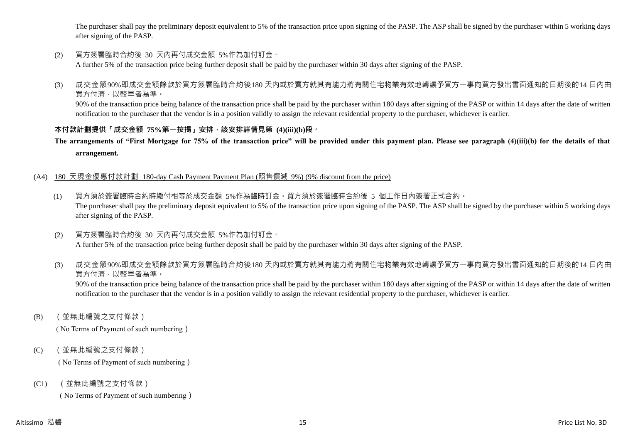The purchaser shall pay the preliminary deposit equivalent to 5% of the transaction price upon signing of the PASP. The ASP shall be signed by the purchaser within 5 working days after signing of the PASP.

(2) 買方簽署臨時合約後 30 天內再付成交金額 5%作為加付訂金。

A further 5% of the transaction price being further deposit shall be paid by the purchaser within 30 days after signing of the PASP.

(3) 成交金額90%即成交金額餘款於買方簽署臨時合約後180 天內或於賣方就其有能力將有關住宅物業有效地轉讓予買方一事向買方發出書面通知的日期後的14 日內由 買方付清,以較早者為準。

90% of the transaction price being balance of the transaction price shall be paid by the purchaser within 180 days after signing of the PASP or within 14 days after the date of written notification to the purchaser that the vendor is in a position validly to assign the relevant residential property to the purchaser, whichever is earlier.

#### **本付款計劃提供「成交金額 75%第一按揭」安排,該安排詳情見第 (4)(iii)(b)段。**

**The arrangements of "First Mortgage for 75% of the transaction price" will be provided under this payment plan. Please see paragraph (4)(iii)(b) for the details of that arrangement.**

#### (A4) 180 天現金優惠付款計劃 180-day Cash Payment Payment Plan (照售價減 9%) (9% discount from the price)

- (1) 買方須於簽署臨時合約時繳付相等於成交金額 5%作為臨時訂金。買方須於簽署臨時合約後 5 個工作日內簽署正式合約。 The purchaser shall pay the preliminary deposit equivalent to 5% of the transaction price upon signing of the PASP. The ASP shall be signed by the purchaser within 5 working days after signing of the PASP.
- (2) 買方簽署臨時合約後 30 天內再付成交金額 5%作為加付訂金。 A further 5% of the transaction price being further deposit shall be paid by the purchaser within 30 days after signing of the PASP.
- (3) 成交金額90%即成交金額餘款於買方簽署臨時合約後180 天內或於賣方就其有能力將有關住宅物業有效地轉讓予買方一事向買方發出書面通知的日期後的14 日內由 買方付清,以較早者為準。

90% of the transaction price being balance of the transaction price shall be paid by the purchaser within 180 days after signing of the PASP or within 14 days after the date of written notification to the purchaser that the vendor is in a position validly to assign the relevant residential property to the purchaser, whichever is earlier.

(B) (並無此編號之支付條款)

( No Terms of Payment of such numbering)

(C) (並無此編號之支付條款)

( No Terms of Payment of such numbering)

(C1) (並無此編號之支付條款)

( No Terms of Payment of such numbering)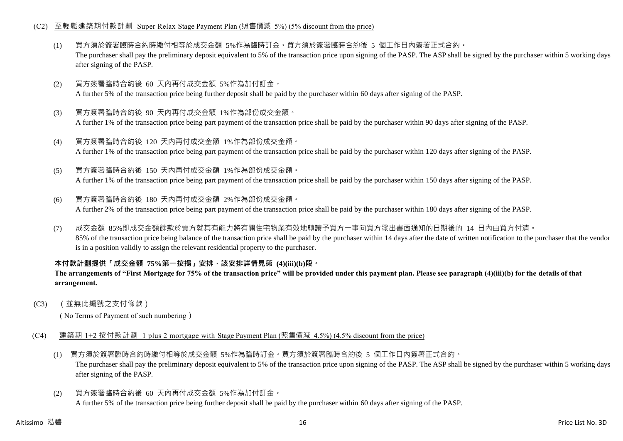#### (C2) 至輕鬆建築期付款計劃 Super Relax Stage Payment Plan (照售價減 5%) (5% discount from the price)

- (1) 買方須於簽署臨時合約時繳付相等於成交金額 5%作為臨時訂金。買方須於簽署臨時合約後 5 個工作日內簽署正式合約。 The purchaser shall pay the preliminary deposit equivalent to 5% of the transaction price upon signing of the PASP. The ASP shall be signed by the purchaser within 5 working days after signing of the PASP.
- (2) 買方簽署臨時合約後 60 天內再付成交金額 5%作為加付訂金。 A further 5% of the transaction price being further deposit shall be paid by the purchaser within 60 days after signing of the PASP.
- (3) 買方簽署臨時合約後 90 天內再付成交金額 1%作為部份成交金額。 A further 1% of the transaction price being part payment of the transaction price shall be paid by the purchaser within 90 days after signing of the PASP.
- (4) 買方簽署臨時合約後 120 天內再付成交金額 1%作為部份成交金額。 A further 1% of the transaction price being part payment of the transaction price shall be paid by the purchaser within 120 days after signing of the PASP.
- (5) 買方簽署臨時合約後 150 天內再付成交金額 1%作為部份成交金額。

A further 1% of the transaction price being part payment of the transaction price shall be paid by the purchaser within 150 days after signing of the PASP.

- (6) 買方簽署臨時合約後 180 天內再付成交金額 2%作為部份成交金額。 A further 2% of the transaction price being part payment of the transaction price shall be paid by the purchaser within 180 days after signing of the PASP.
- (7) 成交金額 85%即成交金額餘款於賣方就其有能力將有關住宅物業有效地轉讓予買方一事向買方發出書面通知的日期後的 14 日內由買方付清。 85% of the transaction price being balance of the transaction price shall be paid by the purchaser within 14 days after the date of written notification to the purchaser that the vendor is in a position validly to assign the relevant residential property to the purchaser.

#### **本付款計劃提供「成交金額 75%第一按揭」安排,該安排詳情見第 (4)(iii)(b)段。**

#### **The arrangements of "First Mortgage for 75% of the transaction price" will be provided under this payment plan. Please see paragraph (4)(iii)(b) for the details of that arrangement.**

(C3) (並無此編號之支付條款)

( No Terms of Payment of such numbering)

- (C4) 建築期 1+2 按付款計劃 1 plus 2 mortgage with Stage Payment Plan (照售價減 4.5%) (4.5% discount from the price)
	- (1) 買方須於簽署臨時合約時繳付相等於成交金額 5%作為臨時訂金。買方須於簽署臨時合約後 5 個工作日內簽署正式合約。 The purchaser shall pay the preliminary deposit equivalent to 5% of the transaction price upon signing of the PASP. The ASP shall be signed by the purchaser within 5 working days after signing of the PASP.
	- (2) 買方簽署臨時合約後 60 天內再付成交金額 5%作為加付訂金。 A further 5% of the transaction price being further deposit shall be paid by the purchaser within 60 days after signing of the PASP.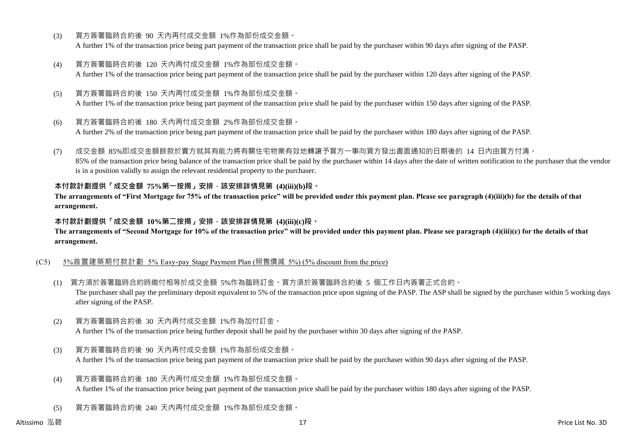- (3) 買方簽署臨時合約後 90 天內再付成交金額 1%作為部份成交金額。 A further 1% of the transaction price being part payment of the transaction price shall be paid by the purchaser within 90 days after signing of the PASP.
- (4) 買方簽署臨時合約後 120 天內再付成交金額 1%作為部份成交金額。 A further 1% of the transaction price being part payment of the transaction price shall be paid by the purchaser within 120 days after signing of the PASP.
- (5) 買方簽署臨時合約後 150 天內再付成交金額 1%作為部份成交金額。 A further 1% of the transaction price being part payment of the transaction price shall be paid by the purchaser within 150 days after signing of the PASP.
- (6) 買方簽署臨時合約後 180 天內再付成交金額 2%作為部份成交金額。

A further 2% of the transaction price being part payment of the transaction price shall be paid by the purchaser within 180 days after signing of the PASP.

(7) 成交金額 85%即成交金額餘款於賣方就其有能力將有關住宅物業有效地轉讓予買方一事向買方發出書面通知的日期後的 14 日內由買方付清。 85% of the transaction price being balance of the transaction price shall be paid by the purchaser within 14 days after the date of written notification to the purchaser that the vendor is in a position validly to assign the relevant residential property to the purchaser.

#### **本付款計劃提供「成交金額 75%第一按揭」安排,該安排詳情見第 (4)(iii)(b)段。**

**The arrangements of "First Mortgage for 75% of the transaction price" will be provided under this payment plan. Please see paragraph (4)(iii)(b) for the details of that arrangement.**

#### **本付款計劃提供「成交金額 10%第二按揭」安排,該安排詳情見第 (4)(iii)(c)段。**

**The arrangements of "Second Mortgage for 10% of the transaction price" will be provided under this payment plan. Please see paragraph (4)(iii)(c) for the details of that arrangement.**

#### (C5) 5%首置建築期付款計劃 5% Easy-pay Stage Payment Plan (照售價減 5%) (5% discount from the price)

- (1) 買方須於簽署臨時合約時繳付相等於成交金額 5%作為臨時訂金。買方須於簽署臨時合約後 5 個工作日內簽署正式合約。 The purchaser shall pay the preliminary deposit equivalent to 5% of the transaction price upon signing of the PASP. The ASP shall be signed by the purchaser within 5 working days after signing of the PASP.
- (2) 買方簽署臨時合約後 30 天內再付成交金額 1%作為加付訂金。 A further 1% of the transaction price being further deposit shall be paid by the purchaser within 30 days after signing of the PASP.
- (3) 買方簽署臨時合約後 90 天內再付成交金額 1%作為部份成交金額。 A further 1% of the transaction price being part payment of the transaction price shall be paid by the purchaser within 90 days after signing of the PASP.
- (4) 買方簽署臨時合約後 180 天內再付成交金額 1%作為部份成交金額。 A further 1% of the transaction price being part payment of the transaction price shall be paid by the purchaser within 180 days after signing of the PASP.
- (5) 買方簽署臨時合約後 240 天內再付成交金額 1%作為部份成交金額。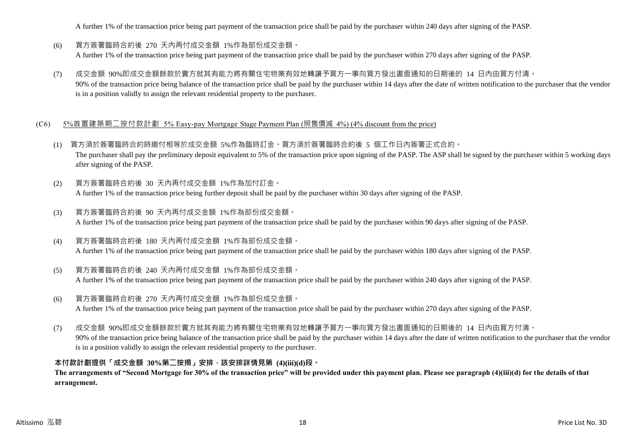A further 1% of the transaction price being part payment of the transaction price shall be paid by the purchaser within 240 days after signing of the PASP.

- (6) 買方簽署臨時合約後 270 天內再付成交金額 1%作為部份成交金額。 A further 1% of the transaction price being part payment of the transaction price shall be paid by the purchaser within 270 days after signing of the PASP.
- (7) 成交金額 90%即成交金額餘款於賣方就其有能力將有關住宅物業有效地轉讓予買方一事向買方發出書面通知的日期後的 14 日內由買方付清。 90% of the transaction price being balance of the transaction price shall be paid by the purchaser within 14 days after the date of written notification to the purchaser that the vendor is in a position validly to assign the relevant residential property to the purchaser.

#### (C6) 5%首置建築期二按付款計劃 5% Easy-pay Mortgage Stage Payment Plan (照售價減 4%) (4% discount from the price)

- (1) 買方須於簽署臨時合約時繳付相等於成交金額 5%作為臨時訂金。買方須於簽署臨時合約後 5 個工作日內簽署正式合約。 The purchaser shall pay the preliminary deposit equivalent to 5% of the transaction price upon signing of the PASP. The ASP shall be signed by the purchaser within 5 working days after signing of the PASP.
- (2) 買方簽署臨時合約後 30 天內再付成交金額 1%作為加付訂金。 A further 1% of the transaction price being further deposit shall be paid by the purchaser within 30 days after signing of the PASP.
- (3) 買方簽署臨時合約後 90 天內再付成交金額 1%作為部份成交金額。 A further 1% of the transaction price being part payment of the transaction price shall be paid by the purchaser within 90 days after signing of the PASP.
- (4) 買方簽署臨時合約後 180 天內再付成交金額 1%作為部份成交金額。 A further 1% of the transaction price being part payment of the transaction price shall be paid by the purchaser within 180 days after signing of the PASP.
- (5) 買方簽署臨時合約後 240 天內再付成交金額 1%作為部份成交金額。 A further 1% of the transaction price being part payment of the transaction price shall be paid by the purchaser within 240 days after signing of the PASP.
- (6) 買方簽署臨時合約後 270 天內再付成交金額 1%作為部份成交金額。 A further 1% of the transaction price being part payment of the transaction price shall be paid by the purchaser within 270 days after signing of the PASP.
- (7) 成交金額 90%即成交金額餘款於賣方就其有能力將有關住宅物業有效地轉讓予買方一事向買方發出書面通知的日期後的 14 日內由買方付清。 90% of the transaction price being balance of the transaction price shall be paid by the purchaser within 14 days after the date of written notification to the purchaser that the vendor is in a position validly to assign the relevant residential property to the purchaser.

#### **本付款計劃提供「成交金額 30%第二按揭」安排,該安排詳情見第 (4)(iii)(d)段。**

**The arrangements of "Second Mortgage for 30% of the transaction price" will be provided under this payment plan. Please see paragraph (4)(iii)(d) for the details of that arrangement.**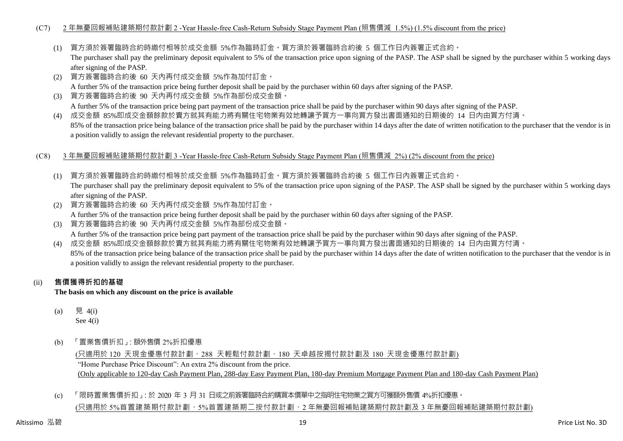#### (C7) 2 年無憂回報補貼建築期付款計劃 2 -Year Hassle-free Cash-Return Subsidy Stage Payment Plan (照售價減 1.5%) (1.5% discount from the price)

(1) 買方須於簽署臨時合約時繳付相等於成交金額 5%作為臨時訂金。買方須於簽署臨時合約後 5 個工作日內簽署正式合約。

The purchaser shall pay the preliminary deposit equivalent to 5% of the transaction price upon signing of the PASP. The ASP shall be signed by the purchaser within 5 working days after signing of the PASP.

- (2) 買方簽署臨時合約後 60 天內再付成交金額 5%作為加付訂金。 A further 5% of the transaction price being further deposit shall be paid by the purchaser within 60 days after signing of the PASP.
- (3) 買方簽署臨時合約後 90 天內再付成交金額 5%作為部份成交金額。 A further 5% of the transaction price being part payment of the transaction price shall be paid by the purchaser within 90 days after signing of the PASP.
- (4) 成交金額 85%即成交金額餘款於賣方就其有能力將有關住宅物業有效地轉讓予買方一事向買方發出書面通知的日期後的 14 日內由買方付清。 85% of the transaction price being balance of the transaction price shall be paid by the purchaser within 14 days after the date of written notification to the purchaser that the vendor is in a position validly to assign the relevant residential property to the purchaser.
- (C8) 3 年無憂回報補貼建築期付款計劃 3 -Year Hassle-free Cash-Return Subsidy Stage Payment Plan (照售價減 2%) (2% discount from the price)
	- (1) 買方須於簽署臨時合約時繳付相等於成交金額 5%作為臨時訂金。買方須於簽署臨時合約後 5 個工作日內簽署正式合約。 The purchaser shall pay the preliminary deposit equivalent to 5% of the transaction price upon signing of the PASP. The ASP shall be signed by the purchaser within 5 working days after signing of the PASP.
	- (2) 買方簽署臨時合約後 60 天內再付成交金額 5%作為加付訂金。 A further 5% of the transaction price being further deposit shall be paid by the purchaser within 60 days after signing of the PASP.
	- (3) 買方簽署臨時合約後 90 天內再付成交金額 5%作為部份成交金額。 A further 5% of the transaction price being part payment of the transaction price shall be paid by the purchaser within 90 days after signing of the PASP.
	- (4) 成交金額 85%即成交金額餘款於賣方就其有能力將有關住宅物業有效地轉讓予買方一事向買方發出書面通知的日期後的 14 日內由買方付清。 85% of the transaction price being balance of the transaction price shall be paid by the purchaser within 14 days after the date of written notification to the purchaser that the vendor is in a position validly to assign the relevant residential property to the purchaser.

#### (ii) **售價獲得折扣的基礎**

**The basis on which any discount on the price is available**

- (a) 見 4(i) See 4(i)
- (b) 「置業售價折扣」:額外售價 2%折扣優惠

(只適用於 120 天現金優惠付款計劃、288 天輕鬆付款計劃、180 天卓越按揭付款計劃及 180 天現金優惠付款計劃) "Home Purchase Price Discount": An extra 2% discount from the price. (Only applicable to 120-day Cash Payment Plan, 288-day Easy Payment Plan, 180-day Premium Mortgage Payment Plan and 180-day Cash Payment Plan)

(c) 「限時置業售價折扣」:於 2020 年 3 月 31 日或之前簽署臨時合約購買本價單中之指明住宅物業之買方可獲額外售價 4%折扣優惠。 (只適用於 5%首置建築期付款計劃、5%首置建築期二按付款計劃、2 年無憂回報補貼建築期付款計劃及 3 年無憂回報補貼建築期付款計劃)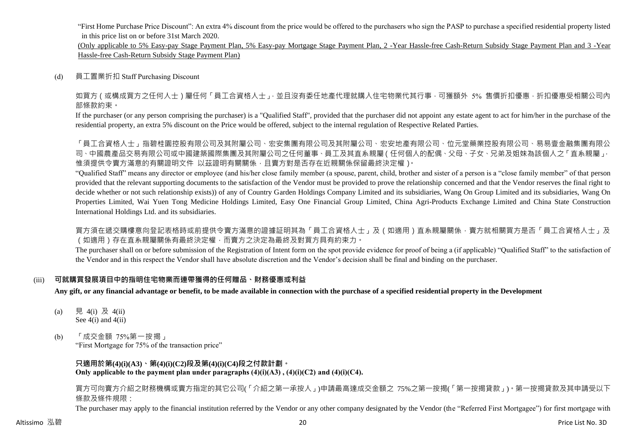"First Home Purchase Price Discount": An extra 4% discount from the price would be offered to the purchasers who sign the PASP to purchase a specified residential property listed in this price list on or before 31st March 2020.

(Only applicable to 5% Easy-pay Stage Payment Plan, 5% Easy-pay Mortgage Stage Payment Plan, 2 -Year Hassle-free Cash-Return Subsidy Stage Payment Plan and 3 -Year Hassle-free Cash-Return Subsidy Stage Payment Plan)

(d) 員工置業折扣 Staff Purchasing Discount

如買方(或構成買方之任何人士)屬任何「員工合資格人士」,並且沒有委任地產代理就購入住宅物業代其行事,可獲額外 5% 售價折扣優惠,折扣優惠受相關公司內 部條款約束。

If the purchaser (or any person comprising the purchaser) is a "Qualified Staff", provided that the purchaser did not appoint any estate agent to act for him/her in the purchase of the residential property, an extra 5% discount on the Price would be offered, subject to the internal regulation of Respective Related Parties.

「員工合資格人士」指碧桂園控股有限公司及其附屬公司、宏安集團有限公司及其附屬公司、宏安地產有限公司、位元堂藥業控股有限公司、易易壹金融集團有限公 司、中國農產品交易有限公司或中國建築國際集團及其附屬公司之任何董事、員工及其直系親屬(任何個人的配偶、父母、子女、兄弟及姐妹為該個人之「直系親屬」, 惟須提供令賣方滿意的有關證明文件 以茲證明有關關係,且賣方對是否存在近親關係保留最終決定權)。

"Qualified Staff" means any director or employee (and his/her close family member (a spouse, parent, child, brother and sister of a person is a "close family member" of that person provided that the relevant supporting documents to the satisfaction of the Vendor must be provided to prove the relationship concerned and that the Vendor reserves the final right to decide whether or not such relationship exists)) of any of Country Garden Holdings Company Limited and its subsidiaries, Wang On Group Limited and its subsidiaries, Wang On Properties Limited, Wai Yuen Tong Medicine Holdings Limited, Easy One Financial Group Limited, China Agri-Products Exchange Limited and China State Construction International Holdings Ltd. and its subsidiaries.

買方須在遞交購樓意向登記表格時或前提供令賣方滿意的證據証明其為「員工合資格人士」及(如適用)直系親屬關係,賣方就相關買方是否「員工合資格人士」及 (如適用)存在直系親屬關係有最終決定權,而賣方之決定為最終及對買方具有約束力。

The purchaser shall on or before submission of the Registration of Intent form on the spot provide evidence for proof of being a (if applicable) "Qualified Staff" to the satisfaction of the Vendor and in this respect the Vendor shall have absolute discretion and the Vendor's decision shall be final and binding on the purchaser.

#### (iii) **可就購買發展項目中的指明住宅物業而連帶獲得的任何贈品、財務優惠或利益**

**Any gift, or any financial advantage or benefit, to be made available in connection with the purchase of a specified residential property in the Development**

- (a) 見 4(i) 及 4(ii) See  $4(i)$  and  $4(ii)$
- (b) 「成交金額 75%第一按揭」

"First Mortgage for 75% of the transaction price"

**只適用於第(4)(i)(A3)、第(4)(i)(C2)段及第(4)(i)(C4)段之付款計劃。 Only applicable to the payment plan under paragraphs (4)(i)(A3) , (4)(i)(C2) and (4)(i)(C4).**

買方可向賣方介紹之財務機構或賣方指定的其它公司(「介紹之第一承按人」)申請最高達成交金額之 75%之第一按揭(「第一按揭貸款」)。第一按揭貸款及其申請受以下 條款及條件規限:

The purchaser may apply to the financial institution referred by the Vendor or any other company designated by the Vendor (the "Referred First Mortgagee") for first mortgage with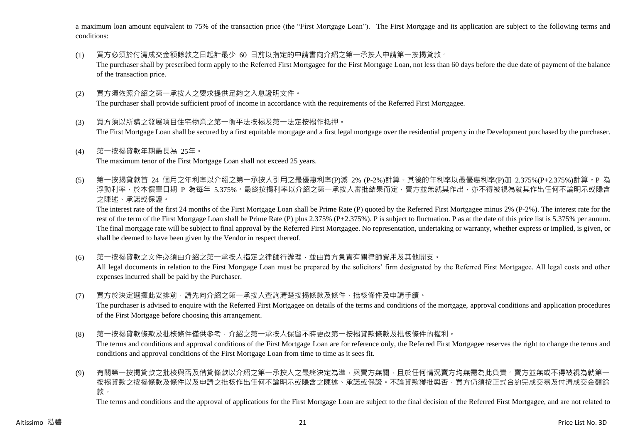a maximum loan amount equivalent to 75% of the transaction price (the "First Mortgage Loan"). The First Mortgage and its application are subject to the following terms and conditions:

- (1) 買方必須於付清成交金額餘款之日起計最少 60 日前以指定的申請書向介紹之第一承按人申請第一按揭貸款。 The purchaser shall by prescribed form apply to the Referred First Mortgagee for the First Mortgage Loan, not less than 60 days before the due date of payment of the balance of the transaction price.
- (2) 買方須依照介紹之第一承按人之要求提供足夠之入息證明文件。 The purchaser shall provide sufficient proof of income in accordance with the requirements of the Referred First Mortgagee.
- (3) 買方須以所購之發展項目住宅物業之第一衡平法按揭及第一法定按揭作抵押。 The First Mortgage Loan shall be secured by a first equitable mortgage and a first legal mortgage over the residential property in the Development purchased by the purchaser.
- (4) 第一按揭貸款年期最長為 25年。 The maximum tenor of the First Mortgage Loan shall not exceed 25 years.
- (5) 第一按揭貸款首 24 個月之年利率以介紹之第一承按人引用之最優惠利率(P)減 2% (P-2%)計算。其後的年利率以最優惠利率(P)加 2.375%(P+2.375%)計算。P 為 浮動利率,於本價單日期 P 為每年 5.375%。最終按揭利率以介紹之第一承按人審批結果而定,賣方並無就其作出,亦不得被視為就其作出任何不論明示或隱含 之陳述、承諾或保證。

The interest rate of the first 24 months of the First Mortgage Loan shall be Prime Rate (P) quoted by the Referred First Mortgagee minus 2% (P-2%). The interest rate for the rest of the term of the First Mortgage Loan shall be Prime Rate (P) plus 2.375% (P+2.375%). P is subject to fluctuation. P as at the date of this price list is 5.375% per annum. The final mortgage rate will be subject to final approval by the Referred First Mortgagee. No representation, undertaking or warranty, whether express or implied, is given, or shall be deemed to have been given by the Vendor in respect thereof.

(6) 第一按揭貸款之文件必須由介紹之第一承按人指定之律師行辦理,並由買方負責有關律師費用及其他開支。

All legal documents in relation to the First Mortgage Loan must be prepared by the solicitors' firm designated by the Referred First Mortgagee. All legal costs and other expenses incurred shall be paid by the Purchaser.

- (7) 買方於決定選擇此安排前,請先向介紹之第一承按人查詢清楚按揭條款及條件、批核條件及申請手續。 The purchaser is advised to enquire with the Referred First Mortgagee on details of the terms and conditions of the mortgage, approval conditions and application procedures of the First Mortgage before choosing this arrangement.
- (8) 第一按揭貸款條款及批核條件僅供參考,介紹之第一承按人保留不時更改第一按揭貸款條款及批核條件的權利。 The terms and conditions and approval conditions of the First Mortgage Loan are for reference only, the Referred First Mortgagee reserves the right to change the terms and conditions and approval conditions of the First Mortgage Loan from time to time as it sees fit.
- (9) 有關第一按揭貸款之批核與否及借貸條款以介紹之第一承按人之最終決定為準,與賣方無關,且於任何情況賣方均無需為此負責。賣方並無或不得被視為就第一 按揭貸款之按揭條款及條件以及申請之批核作出任何不論明示或隱含之陳述、承諾或保證。不論貸款獲批與否,買方仍須按正式合約完成交易及付清成交金額餘 款。

The terms and conditions and the approval of applications for the First Mortgage Loan are subject to the final decision of the Referred First Mortgagee, and are not related to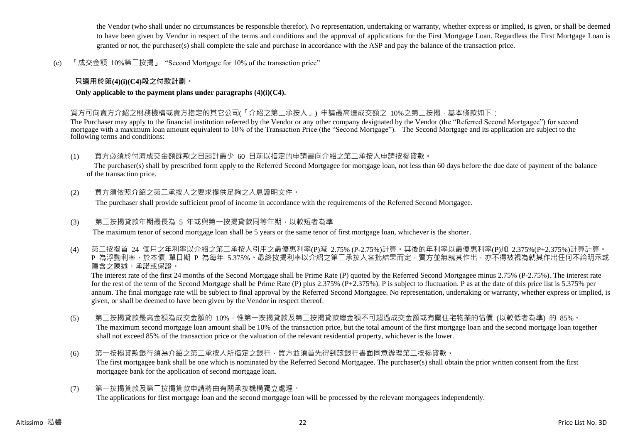the Vendor (who shall under no circumstances be responsible therefor). No representation, undertaking or warranty, whether express or implied, is given, or shall be deemed to have been given by Vendor in respect of the terms and conditions and the approval of applications for the First Mortgage Loan. Regardless the First Mortgage Loan is granted or not, the purchaser(s) shall complete the sale and purchase in accordance with the ASP and pay the balance of the transaction price.

(c) 「成交金額 10%第二按揭」 "Second Mortgage for 10% of the transaction price"

#### **只適用於第(4)(i)(C4)段之付款計劃。**

**Only applicable to the payment plans under paragraphs (4)(i)(C4).**

買方可向賣方介紹之財務機構或賣方指定的其它公司(「介紹之第二承按人」) 申請最高達成交額之 10%之第二按揭,基本條款如下:

The Purchaser may apply to the financial institution referred by the Vendor or any other company designated by the Vendor (the "Referred Second Mortgagee") for second mortgage with a maximum loan amount equivalent to 10% of the Transaction Price (the "Second Mortgage"). The Second Mortgage and its application are subject to the following terms and conditions:

(1) 買方必須於付清成交金額餘款之日起計最少 60 日前以指定的申請書向介紹之第二承按人申請按揭貸款。

The purchaser(s) shall by prescribed form apply to the Referred Second Mortgagee for mortgage loan, not less than 60 days before the due date of payment of the balance of the transaction price.

(2) 買方須依照介紹之第二承按人之要求提供足夠之入息證明文件。

The purchaser shall provide sufficient proof of income in accordance with the requirements of the Referred Second Mortgagee.

(3) 第二按揭貸款年期最長為 5 年或與第一按揭貸款同等年期,以較短者為準

The maximum tenor of second mortgage loan shall be 5 years or the same tenor of first mortgage loan, whichever is the shorter.

(4) 第二按揭首 24 個月之年利率以介紹之第二承按人引用之最優惠利率(P)減 2.75% (P-2.75%)計算。其後的年利率以最優惠利率(P)加 2.375%(P+2.375%)計算計算。 P 為浮動利率,於本價 單日期 P 為每年 5.375%。最終按揭利率以介紹之第<sup>一</sup>承按人審批結果而定,賣方並無就其作出,亦不得被視為就其作出任何不論明示或 隱含之陳述、承諾或保證。

The interest rate of the first 24 months of the Second Mortgage shall be Prime Rate (P) quoted by the Referred Second Mortgagee minus 2.75% (P-2.75%). The interest rate for the rest of the term of the Second Mortgage shall be Prime Rate (P) plus 2.375% (P+2.375%). P is subject to fluctuation. P as at the date of this price list is 5.375% per annum. The final mortgage rate will be subject to final approval by the Referred Second Mortgagee. No representation, undertaking or warranty, whether express or implied, is given, or shall be deemed to have been given by the Vendor in respect thereof.

- (5) 第二按揭貸款最高金額為成交金額的 10%,惟第一按揭貸款及第二按揭貸款總金額不可超過成交金額或有關住宅物業的估價 (以較低者為準) 的 85%。 The maximum second mortgage loan amount shall be 10% of the transaction price, but the total amount of the first mortgage loan and the second mortgage loan together shall not exceed 85% of the transaction price or the valuation of the relevant residential property, whichever is the lower.
- (6) 第一按揭貸款銀行須為介紹之第二承按人所指定之銀行,買方並須首先得到該銀行書面同意辦理第二按揭貸款。 The first mortgagee bank shall be one which is nominated by the Referred Second Mortgagee. The purchaser(s) shall obtain the prior written consent from the first mortgagee bank for the application of second mortgage loan.
- (7) 第一按揭貸款及第二按揭貸款申請將由有關承按機構獨立處理。 The applications for first mortgage loan and the second mortgage loan will be processed by the relevant mortgagees independently.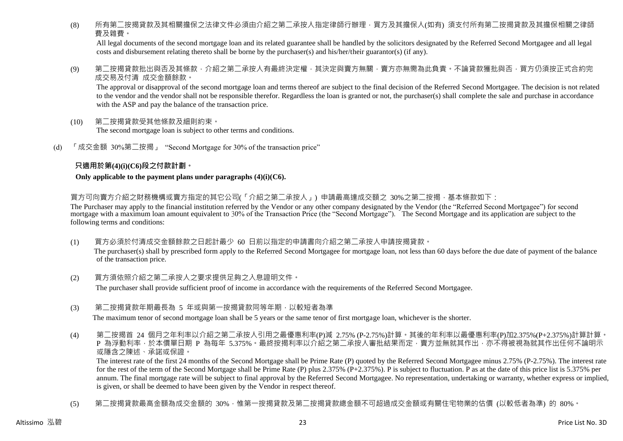(8) 所有第二按揭貸款及其相關擔保之法律文件必須由介紹之第二承按人指定律師行辦理,買方及其擔保人(如有) 須支付所有第二按揭貸款及其擔保相關之律師 費及雜費。

All legal documents of the second mortgage loan and its related guarantee shall be handled by the solicitors designated by the Referred Second Mortgagee and all legal costs and disbursement relating thereto shall be borne by the purchaser(s) and his/her/their guarantor(s) (if any).

(9) 第二按揭貸款批出與否及其條款,介紹之第<sup>一</sup>承按人有最終決定權,其決定與賣方無關,賣方亦無需為此負責。不論貸款獲批與否,買方仍須按正式合約完 成交易及付清 成交金額餘款。

The approval or disapproval of the second mortgage loan and terms thereof are subject to the final decision of the Referred Second Mortgagee. The decision is not related to the vendor and the vendor shall not be responsible therefor. Regardless the loan is granted or not, the purchaser(s) shall complete the sale and purchase in accordance with the ASP and pay the balance of the transaction price.

- (10) 第二按揭貸款受其他條款及細則約束。 The second mortgage loan is subject to other terms and conditions.
- (d) 「成交金額 30%第二按揭」 "Second Mortgage for 30% of the transaction price"

#### **只適用於第(4)(i)(C6)段之付款計劃。**

#### **Only applicable to the payment plans under paragraphs (4)(i)(C6).**

買方可向賣方介紹之財務機構或賣方指定的其它公司(「介紹之第二承按人」) 申請最高達成交額之 30%之第二按揭,基本條款如下:

The Purchaser may apply to the financial institution referred by the Vendor or any other company designated by the Vendor (the "Referred Second Mortgagee") for second mortgage with a maximum loan amount equivalent to 30% of the Transaction Price (the "Second Mortgage"). The Second Mortgage and its application are subject to the following terms and conditions:

- (1) 買方必須於付清成交金額餘款之日起計最少 60 日前以指定的申請書向介紹之第二承按人申請按揭貸款。 The purchaser(s) shall by prescribed form apply to the Referred Second Mortgagee for mortgage loan, not less than 60 days before the due date of payment of the balance of the transaction price.
- (2) 買方須依照介紹之第二承按人之要求提供足夠之入息證明文件。

The purchaser shall provide sufficient proof of income in accordance with the requirements of the Referred Second Mortgagee.

- (3) 第二按揭貸款年期最長為 5 年或與第一按揭貸款同等年期,以較短者為準 The maximum tenor of second mortgage loan shall be 5 years or the same tenor of first mortgage loan, whichever is the shorter.
- (4) 第二按揭首 24 個月之年利率以介紹之第二承按人引用之最優惠利率(P)減 2.75% (P-2.75%)計算。其後的年利率以最優惠利率(P)加2.375%(P+2.375%)計算計算。 P 為浮動利率,於本價單日期 P 為每年 5.375%。最終按揭利率以介紹之第<sup>一</sup>承按人審批結果而定,賣方並無就其作出,亦不得被視為就其作出任何不論明示 或隱含之陳述、承諾或保證。

The interest rate of the first 24 months of the Second Mortgage shall be Prime Rate (P) quoted by the Referred Second Mortgagee minus 2.75% (P-2.75%). The interest rate for the rest of the term of the Second Mortgage shall be Prime Rate (P) plus 2.375% (P+2.375%). P is subject to fluctuation. P as at the date of this price list is 5.375% per annum. The final mortgage rate will be subject to final approval by the Referred Second Mortgagee. No representation, undertaking or warranty, whether express or implied, is given, or shall be deemed to have been given by the Vendor in respect thereof.

(5) 第二按揭貸款最高金額為成交金額的 30%,惟第一按揭貸款及第二按揭貸款總金額不可超過成交金額或有關住宅物業的估價 (以較低者為準) 的 80%。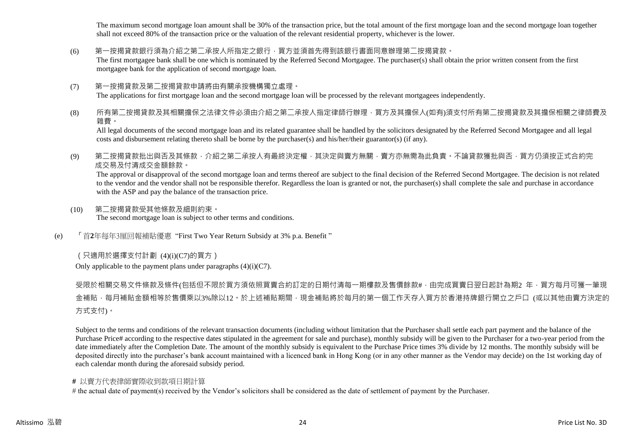The maximum second mortgage loan amount shall be 30% of the transaction price, but the total amount of the first mortgage loan and the second mortgage loan together shall not exceed 80% of the transaction price or the valuation of the relevant residential property, whichever is the lower.

#### (6) 第一按揭貸款銀行須為介紹之第二承按人所指定之銀行,買方並須首先得到該銀行書面同意辦理第二按揭貸款。

The first mortgagee bank shall be one which is nominated by the Referred Second Mortgagee. The purchaser(s) shall obtain the prior written consent from the first mortgagee bank for the application of second mortgage loan.

#### (7) 第一按揭貸款及第二按揭貸款申請將由有關承按機構獨立處理。

The applications for first mortgage loan and the second mortgage loan will be processed by the relevant mortgagees independently.

#### (8) 所有第二按揭貸款及其相關擔保之法律文件必須由介紹之第二承按人指定律師行辦理,買方及其擔保人(如有)須支付所有第二按揭貸款及其擔保相關之律師費及 雜費。

All legal documents of the second mortgage loan and its related guarantee shall be handled by the solicitors designated by the Referred Second Mortgagee and all legal costs and disbursement relating thereto shall be borne by the purchaser(s) and his/her/their guarantor(s) (if any).

(9) 第二按揭貸款批出與否及其條款,介紹之第二承按人有最終決定權,其決定與賣方無關,賣方亦無需為此負責。不論貸款獲批與否,買方仍須按正式合約完 成交易及付清成交金額餘款。

The approval or disapproval of the second mortgage loan and terms thereof are subject to the final decision of the Referred Second Mortgagee. The decision is not related to the vendor and the vendor shall not be responsible therefor. Regardless the loan is granted or not, the purchaser(s) shall complete the sale and purchase in accordance with the ASP and pay the balance of the transaction price.

- (10) 第二按揭貸款受其他條款及細則約束。 The second mortgage loan is subject to other terms and conditions.
- (e) 「首**2**年每年3厘回報補貼優惠 "First Two Year Return Subsidy at 3% p.a. Benefit "

#### (只適用於選擇支付計劃 (4)(i)(C7)的買方)

Only applicable to the payment plans under paragraphs  $(4)(i)(C7)$ .

受限於相關交易文件條款及條件(包括但不限於買方須依照買賣合約訂定的日期付清每一期樓款及售價餘款#,由完成買賣日翌日起計為期2 年,買方每月可獲一筆現 金補貼,每月補貼金額相等於售價乘以3%除以12。於上述補貼期間,現金補貼將於每月的第一個工作天存入買方於香港持牌銀行開立之戶口 (或以其他由賣方決定的 方式支付)。

Subject to the terms and conditions of the relevant transaction documents (including without limitation that the Purchaser shall settle each part payment and the balance of the Purchase Price# according to the respective dates stipulated in the agreement for sale and purchase), monthly subsidy will be given to the Purchaser for a two-year period from the date immediately after the Completion Date. The amount of the monthly subsidy is equivalent to the Purchase Price times 3% divide by 12 months. The monthly subsidy will be deposited directly into the purchaser's bank account maintained with a licenced bank in Hong Kong (or in any other manner as the Vendor may decide) on the 1st working day of each calendar month during the aforesaid subsidy period.

#### **#** 以賣方代表律師實際收到款項日期計算

# the actual date of payment(s) received by the Vendor's solicitors shall be considered as the date of settlement of payment by the Purchaser.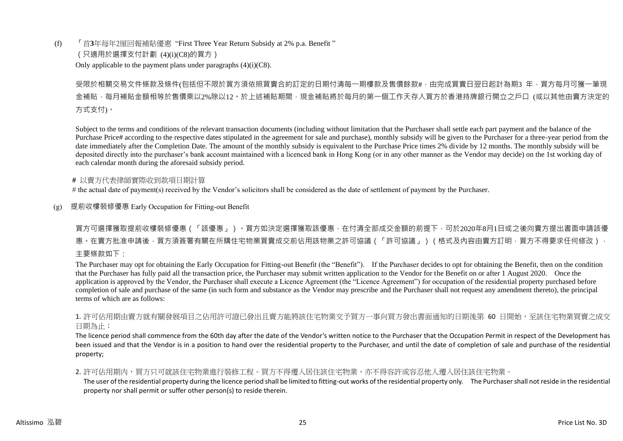(f) 「首**3**年每年2厘回報補貼優惠 "First Three Year Return Subsidy at 2% p.a. Benefit " (只適用於選擇支付計劃 (4)(i)(C8)的買方) Only applicable to the payment plans under paragraphs  $(4)(i)(C8)$ .

# 受限於相關交易文件條款及條件(包括但不限於買方須依照買賣合約訂定的日期付清每一期樓款及售價餘款#,由完成買賣日翌日起計為期3 年,買方每月可獲一筆現 金補貼,每月補貼金額相等於售價乘以2%除以12。於上述補貼期間,現金補貼將於每月的第一個工作天存入買方於香港持牌銀行開立之戶口 (或以其他由賣方決定的 方式支付)。

Subject to the terms and conditions of the relevant transaction documents (including without limitation that the Purchaser shall settle each part payment and the balance of the Purchase Price# according to the respective dates stipulated in the agreement for sale and purchase), monthly subsidy will be given to the Purchaser for a three-year period from the date immediately after the Completion Date. The amount of the monthly subsidy is equivalent to the Purchase Price times 2% divide by 12 months. The monthly subsidy will be deposited directly into the purchaser's bank account maintained with a licenced bank in Hong Kong (or in any other manner as the Vendor may decide) on the 1st working day of each calendar month during the aforesaid subsidy period.

#### **#** 以賣方代表律師實際收到款項日期計算

# the actual date of payment(s) received by the Vendor's solicitors shall be considered as the date of settlement of payment by the Purchaser.

#### (g) 提前收樓裝修優惠 Early Occupation for Fitting-out Benefit

# 買方可選擇獲取提前收樓裝修優惠(「該優惠」)。買方如決定選擇獲取該優惠,在付清全部成交金額的前提下,可於2020年8月1日或之後向賣方提出書面申請該優 惠。在賣方批准申請後,買方須簽署有關在所購住宅物業買賣成交前佔用該物業之許可協議(「許可協議」)(格式及內容由賣方訂明,買方不得要求任何修改), 主要條款如下:

The Purchaser may opt for obtaining the Early Occupation for Fitting-out Benefit (the "Benefit"). If the Purchaser decides to opt for obtaining the Benefit, then on the condition that the Purchaser has fully paid all the transaction price, the Purchaser may submit written application to the Vendor for the Benefit on or after 1 August 2020. Once the application is approved by the Vendor, the Purchaser shall execute a Licence Agreement (the "Licence Agreement") for occupation of the residential property purchased before completion of sale and purchase of the same (in such form and substance as the Vendor may prescribe and the Purchaser shall not request any amendment thereto), the principal terms of which are as follows:

#### 1. 許可佔用期由賣方就有關發展項目之佔用許可證已發出且賣方能將該住宅物業交予買方一事向買方發出書面通知的日期後第 60 日開始,至該住宅物業買賣之成交 日期為止;

The licence period shall commence from the 60th day after the date of the Vendor's written notice to the Purchaser that the Occupation Permit in respect of the Development has been issued and that the Vendor is in a position to hand over the residential property to the Purchaser, and until the date of completion of sale and purchase of the residential property;

#### 2. 許可佔用期内,買方只可就該住宅物業進行裝修工程。買方不得遷入居住該住宅物業,亦不得容許或容忍他人遷入居住該住宅物業。

The user of the residential property during the licence period shall be limited to fitting-out works of the residential property only. The Purchaser shall not reside in the residential property nor shall permit or suffer other person(s) to reside therein.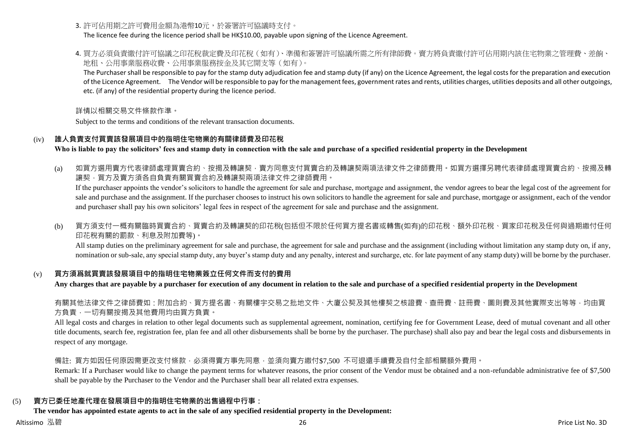3. 許可佔用期之許可費用金額為港幣10元,於簽署許可協議時支付。

The licence fee during the licence period shall be HK\$10.00, payable upon signing of the Licence Agreement.

4. 買方必須負責繳付許可協議之印花稅裁定費及印花稅(如有)、準備和簽署許可協議所需之所有律師費。賣方將負責繳付許可佔用期內該住宅物業之管理費、差餉、 地租、公用事業服務收費、公用事業服務按金及其它開支等(如有)。

The Purchaser shall be responsible to pay for the stamp duty adjudication fee and stamp duty (if any) on the Licence Agreement, the legal costs for the preparation and execution of the Licence Agreement. The Vendor will be responsible to pay for the management fees, government rates and rents, utilities charges, utilities deposits and all other outgoings, etc. (if any) of the residential property during the licence period.

詳情以相關交易文件條款作準。

Subject to the terms and conditions of the relevant transaction documents.

### (iv) **誰人負責支付買賣該發展項目中的指明住宅物業的有關律師費及印花稅**

**Who is liable to pay the solicitors' fees and stamp duty in connection with the sale and purchase of a specified residential property in the Development**

(a) 如買方選用賣方代表律師處理買賣合約、按揭及轉讓契,賣方同意支付買賣合約及轉讓契兩項法律文件之律師費用。如買方選擇另聘代表律師處理買賣合約、按揭及轉 讓契,買方及賣方須各自負責有關買賣合約及轉讓契兩項法律文件之律師費用。

If the purchaser appoints the vendor's solicitors to handle the agreement for sale and purchase, mortgage and assignment, the vendor agrees to bear the legal cost of the agreement for sale and purchase and the assignment. If the purchaser chooses to instruct his own solicitors to handle the agreement for sale and purchase, mortgage or assignment, each of the vendor and purchaser shall pay his own solicitors' legal fees in respect of the agreement for sale and purchase and the assignment.

(b) 買方須支付一概有關臨時買賣合約、買賣合約及轉讓契的印花稅(包括但不限於任何買方提名書或轉售(如有)的印花稅、額外印花稅、買家印花稅及任何與過期繳付任何 印花稅有關的罰款、利息及附加費等)。

All stamp duties on the preliminary agreement for sale and purchase, the agreement for sale and purchase and the assignment (including without limitation any stamp duty on, if any, nomination or sub-sale, any special stamp duty, any buyer's stamp duty and any penalty, interest and surcharge, etc. for late payment of any stamp duty) will be borne by the purchaser.

#### (v) **買方須爲就買賣該發展項目中的指明住宅物業簽立任何文件而支付的費用**

**Any charges that are payable by a purchaser for execution of any document in relation to the sale and purchase of a specified residential property in the Development**

右關其他法律文件之律師費如:附加合約、買方提名書、有關樓宇交易之批地文件、大廈公契及其他樓契之核證費、杳冊費、註冊費、圖則費及其他實際支出等等,均由買 方負責,一切有關按揭及其他費用均由買方負責。

All legal costs and charges in relation to other legal documents such as supplemental agreement, nomination, certifying fee for Government Lease, deed of mutual covenant and all other title documents, search fee, registration fee, plan fee and all other disbursements shall be borne by the purchaser. The purchase) shall also pay and bear the legal costs and disbursements in respect of any mortgage.

備註: 買方如因任何原因需更改支付條款,必須得賣方事先同意,並須向賣方繳付\$7,500 不可退還手續費及自付全部相關額外費用。

Remark: If a Purchaser would like to change the payment terms for whatever reasons, the prior consent of the Vendor must be obtained and a non-refundable administrative fee of \$7,500 shall be payable by the Purchaser to the Vendor and the Purchaser shall bear all related extra expenses.

## (5) **賣方已委任地產代理在發展項目中的指明住宅物業的出售過程中行事:**

#### **The vendor has appointed estate agents to act in the sale of any specified residential property in the Development:**